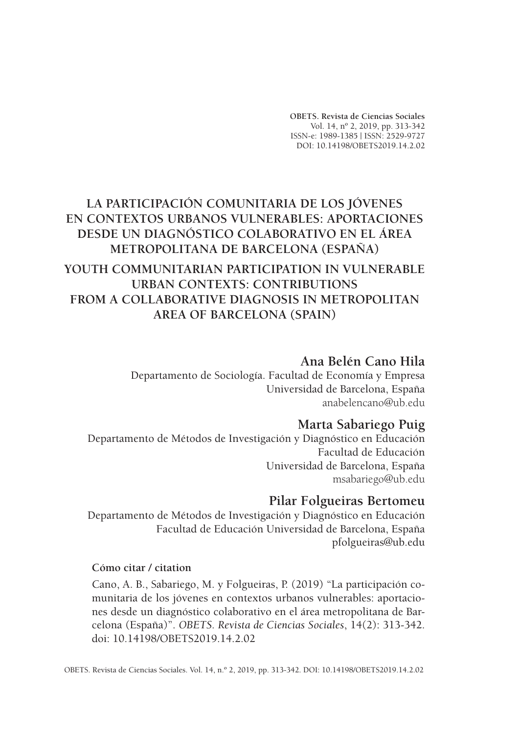**OBETS. Revista de Ciencias Sociales** Vol. 14, nº 2, 2019, pp. 313-342 ISSN-e: 1989-1385 | ISSN: 2529-9727 DOI: 10.14198/OBETS2019.14.2.02

# **LA PARTICIPACIÓN COMUNITARIA DE LOS JÓVENES EN CONTEXTOS URBANOS VULNERABLES: APORTACIONES DESDE UN DIAGNÓSTICO COLABORATIVO EN EL ÁREA METROPOLITANA DE BARCELONA (ESPAÑA) YOUTH COMMUNITARIAN PARTICIPATION IN VULNERABLE URBAN CONTEXTS: CONTRIBUTIONS FROM A COLLABORATIVE DIAGNOSIS IN METROPOLITAN AREA OF BARCELONA (SPAIN)**

# **Ana Belén Cano Hila**

Departamento de Sociología. Facultad de Economía y Empresa Universidad de Barcelona, España anabelencano@ub.edu

# **Marta Sabariego Puig**

Departamento de Métodos de Investigación y Diagnóstico en Educación Facultad de Educación Universidad de Barcelona, España msabariego@ub.edu

# **Pilar Folgueiras Bertomeu**

Departamento de Métodos de Investigación y Diagnóstico en Educación Facultad de Educación Universidad de Barcelona, España pfolgueiras@ub.edu

### **Cómo citar / citation**

Cano, A. B., Sabariego, M. y Folgueiras, P. (2019) "La participación comunitaria de los jóvenes en contextos urbanos vulnerables: aportaciones desde un diagnóstico colaborativo en el área metropolitana de Barcelona (España)". *OBETS. Revista de Ciencias Sociales*, 14(2): 313-342. doi: 10.14198/OBETS2019.14.2.02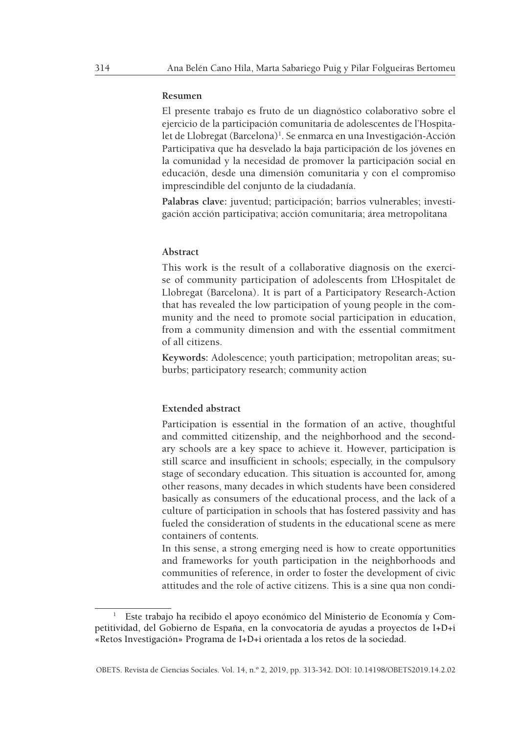#### **Resumen**

El presente trabajo es fruto de un diagnóstico colaborativo sobre el ejercicio de la participación comunitaria de adolescentes de l'Hospitalet de Llobregat (Barcelona)<sup>1</sup>. Se enmarca en una Investigación-Acción Participativa que ha desvelado la baja participación de los jóvenes en la comunidad y la necesidad de promover la participación social en educación, desde una dimensión comunitaria y con el compromiso imprescindible del conjunto de la ciudadanía.

**Palabras clave:** juventud; participación; barrios vulnerables; investigación acción participativa; acción comunitaria; área metropolitana

#### **Abstract**

This work is the result of a collaborative diagnosis on the exercise of community participation of adolescents from L'Hospitalet de Llobregat (Barcelona). It is part of a Participatory Research-Action that has revealed the low participation of young people in the community and the need to promote social participation in education, from a community dimension and with the essential commitment of all citizens.

**Keywords:** Adolescence; youth participation; metropolitan areas; suburbs; participatory research; community action

#### **Extended abstract**

Participation is essential in the formation of an active, thoughtful and committed citizenship, and the neighborhood and the secondary schools are a key space to achieve it. However, participation is still scarce and insufficient in schools; especially, in the compulsory stage of secondary education. This situation is accounted for, among other reasons, many decades in which students have been considered basically as consumers of the educational process, and the lack of a culture of participation in schools that has fostered passivity and has fueled the consideration of students in the educational scene as mere containers of contents.

In this sense, a strong emerging need is how to create opportunities and frameworks for youth participation in the neighborhoods and communities of reference, in order to foster the development of civic attitudes and the role of active citizens. This is a sine qua non condi-

<sup>1</sup> Este trabajo ha recibido el apoyo económico del Ministerio de Economía y Competitividad, del Gobierno de España, en la convocatoria de ayudas a proyectos de I+D+i «Retos Investigación» Programa de I+D+i orientada a los retos de la sociedad.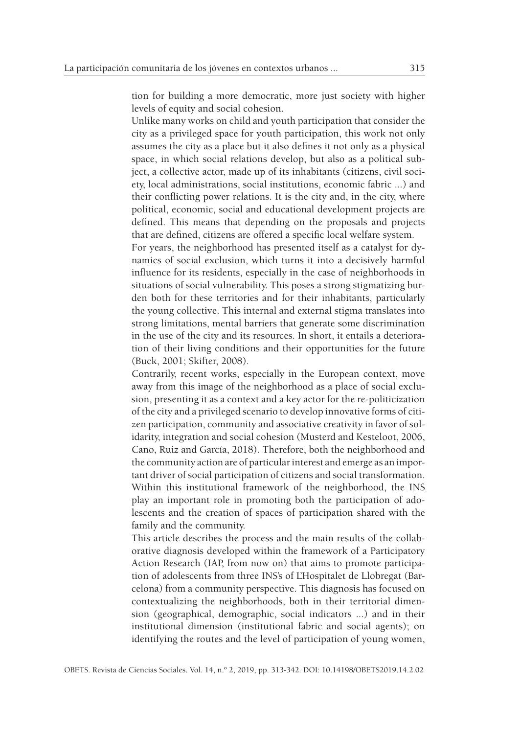tion for building a more democratic, more just society with higher levels of equity and social cohesion.

Unlike many works on child and youth participation that consider the city as a privileged space for youth participation, this work not only assumes the city as a place but it also defines it not only as a physical space, in which social relations develop, but also as a political subject, a collective actor, made up of its inhabitants (citizens, civil society, local administrations, social institutions, economic fabric ...) and their conflicting power relations. It is the city and, in the city, where political, economic, social and educational development projects are defined. This means that depending on the proposals and projects that are defined, citizens are offered a specific local welfare system.

For years, the neighborhood has presented itself as a catalyst for dynamics of social exclusion, which turns it into a decisively harmful influence for its residents, especially in the case of neighborhoods in situations of social vulnerability. This poses a strong stigmatizing burden both for these territories and for their inhabitants, particularly the young collective. This internal and external stigma translates into strong limitations, mental barriers that generate some discrimination in the use of the city and its resources. In short, it entails a deterioration of their living conditions and their opportunities for the future (Buck, 2001; Skifter, 2008).

Contrarily, recent works, especially in the European context, move away from this image of the neighborhood as a place of social exclusion, presenting it as a context and a key actor for the re-politicization of the city and a privileged scenario to develop innovative forms of citizen participation, community and associative creativity in favor of solidarity, integration and social cohesion (Musterd and Kesteloot, 2006, Cano, Ruiz and García, 2018). Therefore, both the neighborhood and the community action are of particular interest and emerge as an important driver of social participation of citizens and social transformation. Within this institutional framework of the neighborhood, the INS play an important role in promoting both the participation of adolescents and the creation of spaces of participation shared with the family and the community.

This article describes the process and the main results of the collaborative diagnosis developed within the framework of a Participatory Action Research (IAP, from now on) that aims to promote participation of adolescents from three INS's of L'Hospitalet de Llobregat (Barcelona) from a community perspective. This diagnosis has focused on contextualizing the neighborhoods, both in their territorial dimension (geographical, demographic, social indicators ...) and in their institutional dimension (institutional fabric and social agents); on identifying the routes and the level of participation of young women,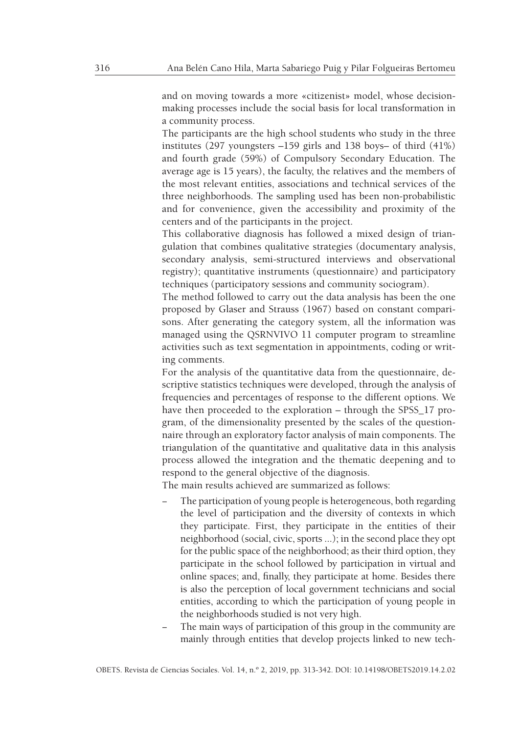and on moving towards a more «citizenist» model, whose decisionmaking processes include the social basis for local transformation in a community process.

The participants are the high school students who study in the three institutes (297 youngsters –159 girls and 138 boys– of third (41%) and fourth grade (59%) of Compulsory Secondary Education. The average age is 15 years), the faculty, the relatives and the members of the most relevant entities, associations and technical services of the three neighborhoods. The sampling used has been non-probabilistic and for convenience, given the accessibility and proximity of the centers and of the participants in the project.

This collaborative diagnosis has followed a mixed design of triangulation that combines qualitative strategies (documentary analysis, secondary analysis, semi-structured interviews and observational registry); quantitative instruments (questionnaire) and participatory techniques (participatory sessions and community sociogram).

The method followed to carry out the data analysis has been the one proposed by Glaser and Strauss (1967) based on constant comparisons. After generating the category system, all the information was managed using the QSRNVIVO 11 computer program to streamline activities such as text segmentation in appointments, coding or writing comments.

For the analysis of the quantitative data from the questionnaire, descriptive statistics techniques were developed, through the analysis of frequencies and percentages of response to the different options. We have then proceeded to the exploration – through the SPSS\_17 program, of the dimensionality presented by the scales of the questionnaire through an exploratory factor analysis of main components. The triangulation of the quantitative and qualitative data in this analysis process allowed the integration and the thematic deepening and to respond to the general objective of the diagnosis.

The main results achieved are summarized as follows:

- The participation of young people is heterogeneous, both regarding the level of participation and the diversity of contexts in which they participate. First, they participate in the entities of their neighborhood (social, civic, sports ...); in the second place they opt for the public space of the neighborhood; as their third option, they participate in the school followed by participation in virtual and online spaces; and, finally, they participate at home. Besides there is also the perception of local government technicians and social entities, according to which the participation of young people in the neighborhoods studied is not very high.
- The main ways of participation of this group in the community are mainly through entities that develop projects linked to new tech-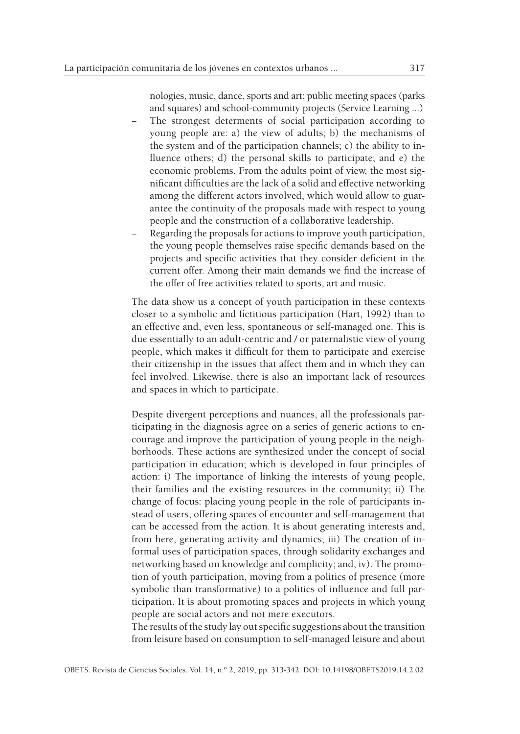nologies, music, dance, sports and art; public meeting spaces (parks

- and squares) and school-community projects (Service Learning ...) The strongest determents of social participation according to young people are: a) the view of adults; b) the mechanisms of the system and of the participation channels; c) the ability to influence others; d) the personal skills to participate; and e) the economic problems. From the adults point of view, the most significant difficulties are the lack of a solid and effective networking among the different actors involved, which would allow to guarantee the continuity of the proposals made with respect to young people and the construction of a collaborative leadership.
- Regarding the proposals for actions to improve youth participation, the young people themselves raise specific demands based on the projects and specific activities that they consider deficient in the current offer. Among their main demands we find the increase of the offer of free activities related to sports, art and music.

The data show us a concept of youth participation in these contexts closer to a symbolic and fictitious participation (Hart, 1992) than to an effective and, even less, spontaneous or self-managed one. This is due essentially to an adult-centric and / or paternalistic view of young people, which makes it difficult for them to participate and exercise their citizenship in the issues that affect them and in which they can feel involved. Likewise, there is also an important lack of resources and spaces in which to participate.

Despite divergent perceptions and nuances, all the professionals participating in the diagnosis agree on a series of generic actions to encourage and improve the participation of young people in the neighborhoods. These actions are synthesized under the concept of social participation in education; which is developed in four principles of action: i) The importance of linking the interests of young people, their families and the existing resources in the community; ii) The change of focus: placing young people in the role of participants instead of users, offering spaces of encounter and self-management that can be accessed from the action. It is about generating interests and, from here, generating activity and dynamics; iii) The creation of informal uses of participation spaces, through solidarity exchanges and networking based on knowledge and complicity; and, iv). The promotion of youth participation, moving from a politics of presence (more symbolic than transformative) to a politics of influence and full participation. It is about promoting spaces and projects in which young people are social actors and not mere executors.

The results of the study lay out specific suggestions about the transition from leisure based on consumption to self-managed leisure and about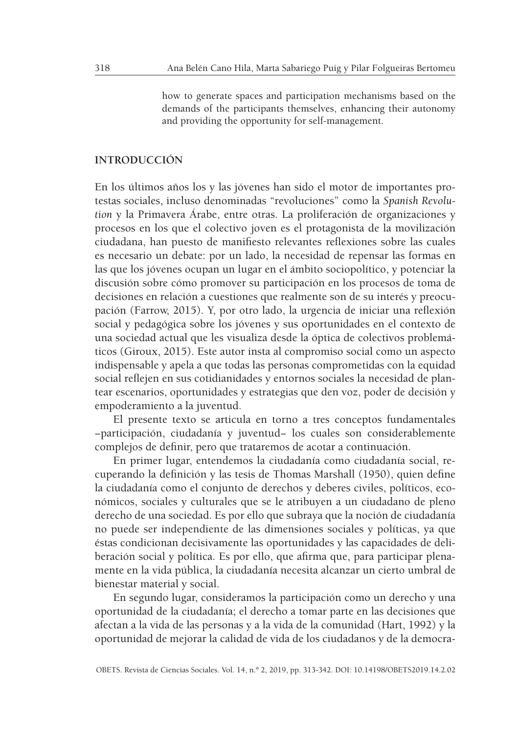how to generate spaces and participation mechanisms based on the demands of the participants themselves, enhancing their autonomy and providing the opportunity for self-management.

### **INTRODUCCIÓN**

En los últimos años los y las jóvenes han sido el motor de importantes protestas sociales, incluso denominadas "revoluciones" como la *Spanish Revolution* y la Primavera Árabe, entre otras. La proliferación de organizaciones y procesos en los que el colectivo joven es el protagonista de la movilización ciudadana, han puesto de manifiesto relevantes reflexiones sobre las cuales es necesario un debate: por un lado, la necesidad de repensar las formas en las que los jóvenes ocupan un lugar en el ámbito sociopolítico, y potenciar la discusión sobre cómo promover su participación en los procesos de toma de decisiones en relación a cuestiones que realmente son de su interés y preocupación (Farrow, 2015). Y, por otro lado, la urgencia de iniciar una reflexión social y pedagógica sobre los jóvenes y sus oportunidades en el contexto de una sociedad actual que les visualiza desde la óptica de colectivos problemáticos (Giroux, 2015). Este autor insta al compromiso social como un aspecto indispensable y apela a que todas las personas comprometidas con la equidad social reflejen en sus cotidianidades y entornos sociales la necesidad de plantear escenarios, oportunidades y estrategias que den voz, poder de decisión y empoderamiento a la juventud.

El presente texto se articula en torno a tres conceptos fundamentales −participación, ciudadanía y juventud− los cuales son considerablemente complejos de definir, pero que trataremos de acotar a continuación.

En primer lugar, entendemos la ciudadanía como ciudadanía social, recuperando la definición y las tesis de Thomas Marshall (1950), quien define la ciudadanía como el conjunto de derechos y deberes civiles, políticos, económicos, sociales y culturales que se le atribuyen a un ciudadano de pleno derecho de una sociedad. Es por ello que subraya que la noción de ciudadanía no puede ser independiente de las dimensiones sociales y políticas, ya que éstas condicionan decisivamente las oportunidades y las capacidades de deliberación social y política. Es por ello, que afirma que, para participar plenamente en la vida pública, la ciudadanía necesita alcanzar un cierto umbral de bienestar material y social.

En segundo lugar, consideramos la participación como un derecho y una oportunidad de la ciudadanía; el derecho a tomar parte en las decisiones que afectan a la vida de las personas y a la vida de la comunidad (Hart, 1992) y la oportunidad de mejorar la calidad de vida de los ciudadanos y de la democra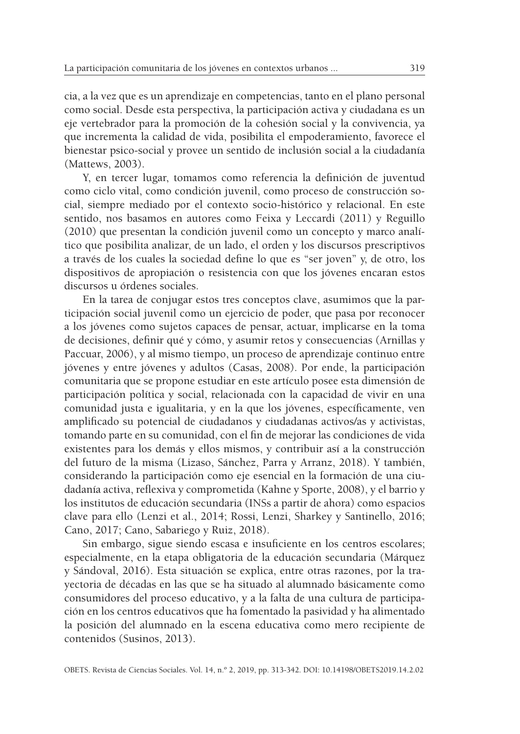cia, a la vez que es un aprendizaje en competencias, tanto en el plano personal como social. Desde esta perspectiva, la participación activa y ciudadana es un eje vertebrador para la promoción de la cohesión social y la convivencia, ya que incrementa la calidad de vida, posibilita el empoderamiento, favorece el bienestar psico-social y provee un sentido de inclusión social a la ciudadanía (Mattews, 2003).

Y, en tercer lugar, tomamos como referencia la definición de juventud como ciclo vital, como condición juvenil, como proceso de construcción social, siempre mediado por el contexto socio-histórico y relacional. En este sentido, nos basamos en autores como Feixa y Leccardi (2011) y Reguillo (2010) que presentan la condición juvenil como un concepto y marco analítico que posibilita analizar, de un lado, el orden y los discursos prescriptivos a través de los cuales la sociedad define lo que es "ser joven" y, de otro, los dispositivos de apropiación o resistencia con que los jóvenes encaran estos discursos u órdenes sociales.

En la tarea de conjugar estos tres conceptos clave, asumimos que la participación social juvenil como un ejercicio de poder, que pasa por reconocer a los jóvenes como sujetos capaces de pensar, actuar, implicarse en la toma de decisiones, definir qué y cómo, y asumir retos y consecuencias (Arnillas y Paccuar, 2006), y al mismo tiempo, un proceso de aprendizaje continuo entre jóvenes y entre jóvenes y adultos (Casas, 2008). Por ende, la participación comunitaria que se propone estudiar en este artículo posee esta dimensión de participación política y social, relacionada con la capacidad de vivir en una comunidad justa e igualitaria, y en la que los jóvenes, específicamente, ven amplificado su potencial de ciudadanos y ciudadanas activos/as y activistas, tomando parte en su comunidad, con el fin de mejorar las condiciones de vida existentes para los demás y ellos mismos, y contribuir así a la construcción del futuro de la misma (Lizaso, Sánchez, Parra y Arranz, 2018). Y también, considerando la participación como eje esencial en la formación de una ciudadanía activa, reflexiva y comprometida (Kahne y Sporte, 2008), y el barrio y los institutos de educación secundaria (INSs a partir de ahora) como espacios clave para ello (Lenzi et al., 2014; Rossi, Lenzi, Sharkey y Santinello, 2016; Cano, 2017; Cano, Sabariego y Ruiz, 2018).

Sin embargo, sigue siendo escasa e insuficiente en los centros escolares; especialmente, en la etapa obligatoria de la educación secundaria (Márquez y Sándoval, 2016). Esta situación se explica, entre otras razones, por la trayectoria de décadas en las que se ha situado al alumnado básicamente como consumidores del proceso educativo, y a la falta de una cultura de participación en los centros educativos que ha fomentado la pasividad y ha alimentado la posición del alumnado en la escena educativa como mero recipiente de contenidos (Susinos, 2013).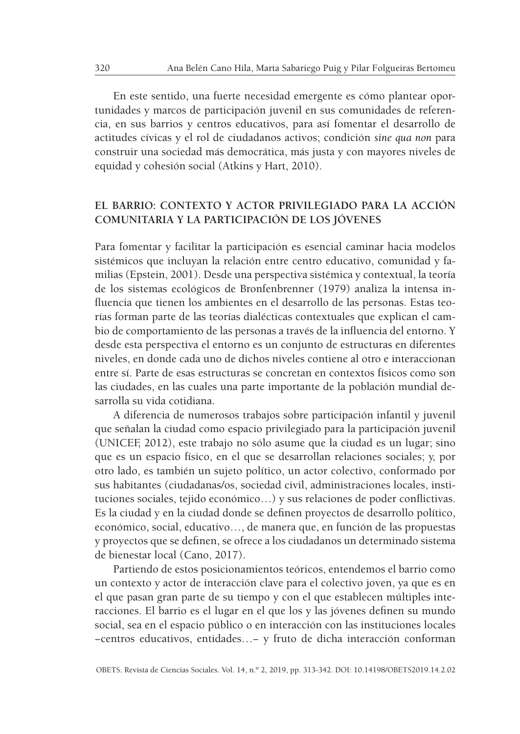En este sentido, una fuerte necesidad emergente es cómo plantear oportunidades y marcos de participación juvenil en sus comunidades de referencia, en sus barrios y centros educativos, para así fomentar el desarrollo de actitudes cívicas y el rol de ciudadanos activos; condición *sine qua non* para construir una sociedad más democrática, más justa y con mayores niveles de equidad y cohesión social (Atkins y Hart, 2010).

# **EL BARRIO: CONTEXTO Y ACTOR PRIVILEGIADO PARA LA ACCIÓN COMUNITARIA Y LA PARTICIPACIÓN DE LOS JÓVENES**

Para fomentar y facilitar la participación es esencial caminar hacia modelos sistémicos que incluyan la relación entre centro educativo, comunidad y familias (Epstein, 2001). Desde una perspectiva sistémica y contextual, la teoría de los sistemas ecológicos de Bronfenbrenner (1979) analiza la intensa influencia que tienen los ambientes en el desarrollo de las personas. Estas teorías forman parte de las teorías dialécticas contextuales que explican el cambio de comportamiento de las personas a través de la influencia del entorno. Y desde esta perspectiva el entorno es un conjunto de estructuras en diferentes niveles, en donde cada uno de dichos niveles contiene al otro e interaccionan entre sí. Parte de esas estructuras se concretan en contextos físicos como son las ciudades, en las cuales una parte importante de la población mundial desarrolla su vida cotidiana.

A diferencia de numerosos trabajos sobre participación infantil y juvenil que señalan la ciudad como espacio privilegiado para la participación juvenil (UNICEF, 2012), este trabajo no sólo asume que la ciudad es un lugar; sino que es un espacio físico, en el que se desarrollan relaciones sociales; y, por otro lado, es también un sujeto político, un actor colectivo, conformado por sus habitantes (ciudadanas/os, sociedad civil, administraciones locales, instituciones sociales, tejido económico…) y sus relaciones de poder conflictivas. Es la ciudad y en la ciudad donde se definen proyectos de desarrollo político, económico, social, educativo…, de manera que, en función de las propuestas y proyectos que se definen, se ofrece a los ciudadanos un determinado sistema de bienestar local (Cano, 2017).

Partiendo de estos posicionamientos teóricos, entendemos el barrio como un contexto y actor de interacción clave para el colectivo joven, ya que es en el que pasan gran parte de su tiempo y con el que establecen múltiples interacciones. El barrio es el lugar en el que los y las jóvenes definen su mundo social, sea en el espacio público o en interacción con las instituciones locales −centros educativos, entidades…− y fruto de dicha interacción conforman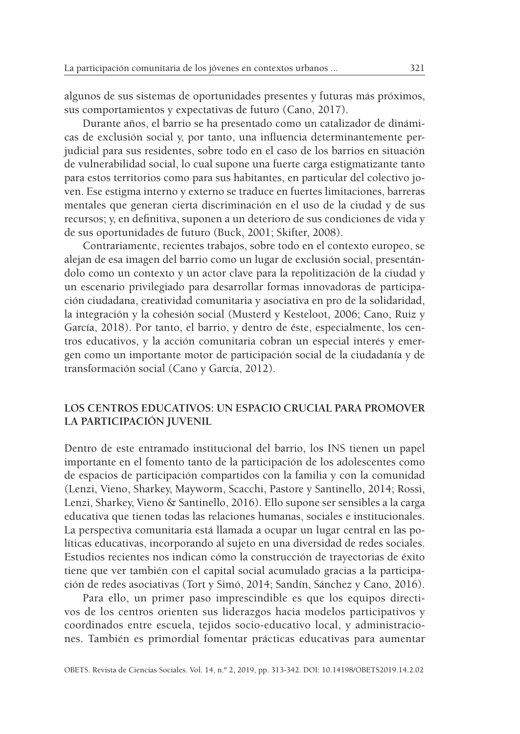algunos de sus sistemas de oportunidades presentes y futuras más próximos, sus comportamientos y expectativas de futuro (Cano, 2017).

Durante años, el barrio se ha presentado como un catalizador de dinámicas de exclusión social y, por tanto, una influencia determinantemente perjudicial para sus residentes, sobre todo en el caso de los barrios en situación de vulnerabilidad social, lo cual supone una fuerte carga estigmatizante tanto para estos territorios como para sus habitantes, en particular del colectivo joven. Ese estigma interno y externo se traduce en fuertes limitaciones, barreras mentales que generan cierta discriminación en el uso de la ciudad y de sus recursos; y, en definitiva, suponen a un deterioro de sus condiciones de vida y de sus oportunidades de futuro (Buck, 2001; Skifter, 2008).

Contrariamente, recientes trabajos, sobre todo en el contexto europeo, se alejan de esa imagen del barrio como un lugar de exclusión social, presentándolo como un contexto y un actor clave para la repolitización de la ciudad y un escenario privilegiado para desarrollar formas innovadoras de participación ciudadana, creatividad comunitaria y asociativa en pro de la solidaridad, la integración y la cohesión social (Musterd y Kesteloot, 2006; Cano, Ruiz y García, 2018). Por tanto, el barrio, y dentro de éste, especialmente, los centros educativos, y la acción comunitaria cobran un especial interés y emergen como un importante motor de participación social de la ciudadanía y de transformación social (Cano y García, 2012).

# **LOS CENTROS EDUCATIVOS: UN ESPACIO CRUCIAL PARA PROMOVER LA PARTICIPACIÓN JUVENIL**

Dentro de este entramado institucional del barrio, los INS tienen un papel importante en el fomento tanto de la participación de los adolescentes como de espacios de participación compartidos con la familia y con la comunidad (Lenzi, Vieno, Sharkey, Mayworm, Scacchi, Pastore y Santinello, 2014; Rossi, Lenzi, Sharkey, Vieno & Santinello, 2016). Ello supone ser sensibles a la carga educativa que tienen todas las relaciones humanas, sociales e institucionales. La perspectiva comunitaria está llamada a ocupar un lugar central en las políticas educativas, incorporando al sujeto en una diversidad de redes sociales. Estudios recientes nos indican cómo la construcción de trayectorias de éxito tiene que ver también con el capital social acumulado gracias a la participación de redes asociativas (Tort y Simó, 2014; Sandín, Sánchez y Cano, 2016).

Para ello, un primer paso imprescindible es que los equipos directivos de los centros orienten sus liderazgos hacia modelos participativos y coordinados entre escuela, tejidos socio-educativo local, y administraciones. También es primordial fomentar prácticas educativas para aumentar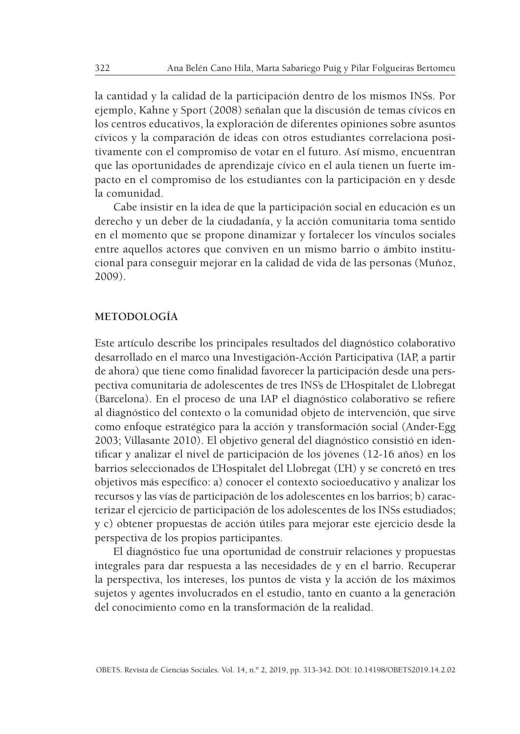la cantidad y la calidad de la participación dentro de los mismos INSs. Por ejemplo, Kahne y Sport (2008) señalan que la discusión de temas cívicos en los centros educativos, la exploración de diferentes opiniones sobre asuntos cívicos y la comparación de ideas con otros estudiantes correlaciona positivamente con el compromiso de votar en el futuro. Así mismo, encuentran que las oportunidades de aprendizaje cívico en el aula tienen un fuerte impacto en el compromiso de los estudiantes con la participación en y desde la comunidad.

Cabe insistir en la idea de que la participación social en educación es un derecho y un deber de la ciudadanía, y la acción comunitaria toma sentido en el momento que se propone dinamizar y fortalecer los vínculos sociales entre aquellos actores que conviven en un mismo barrio o ámbito institucional para conseguir mejorar en la calidad de vida de las personas (Muñoz, 2009).

### **METODOLOGÍA**

Este artículo describe los principales resultados del diagnóstico colaborativo desarrollado en el marco una Investigación-Acción Participativa (IAP, a partir de ahora) que tiene como finalidad favorecer la participación desde una perspectiva comunitaria de adolescentes de tres INS's de L'Hospitalet de Llobregat (Barcelona). En el proceso de una IAP el diagnóstico colaborativo se refiere al diagnóstico del contexto o la comunidad objeto de intervención, que sirve como enfoque estratégico para la acción y transformación social (Ander-Egg 2003; Villasante 2010). El objetivo general del diagnóstico consistió en identificar y analizar el nivel de participación de los jóvenes (12-16 años) en los barrios seleccionados de L'Hospitalet del Llobregat (L'H) y se concretó en tres objetivos más específico: a) conocer el contexto socioeducativo y analizar los recursos y las vías de participación de los adolescentes en los barrios; b) caracterizar el ejercicio de participación de los adolescentes de los INSs estudiados; y c) obtener propuestas de acción útiles para mejorar este ejercicio desde la perspectiva de los propios participantes.

El diagnóstico fue una oportunidad de construir relaciones y propuestas integrales para dar respuesta a las necesidades de y en el barrio. Recuperar la perspectiva, los intereses, los puntos de vista y la acción de los máximos sujetos y agentes involucrados en el estudio, tanto en cuanto a la generación del conocimiento como en la transformación de la realidad.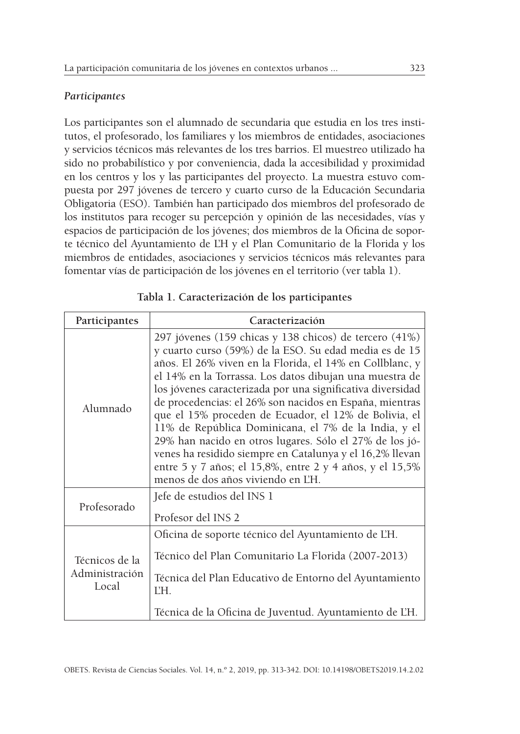# *Participantes*

Los participantes son el alumnado de secundaria que estudia en los tres institutos, el profesorado, los familiares y los miembros de entidades, asociaciones y servicios técnicos más relevantes de los tres barrios. El muestreo utilizado ha sido no probabilístico y por conveniencia, dada la accesibilidad y proximidad en los centros y los y las participantes del proyecto. La muestra estuvo compuesta por 297 jóvenes de tercero y cuarto curso de la Educación Secundaria Obligatoria (ESO). También han participado dos miembros del profesorado de los institutos para recoger su percepción y opinión de las necesidades, vías y espacios de participación de los jóvenes; dos miembros de la Oficina de soporte técnico del Ayuntamiento de L'H y el Plan Comunitario de la Florida y los miembros de entidades, asociaciones y servicios técnicos más relevantes para fomentar vías de participación de los jóvenes en el territorio (ver tabla 1).

| Participantes                             | Caracterización                                                                                                                                                                                                                                                                                                                                                                                                                                                                                                                                                                                                                                                                                            |  |  |  |
|-------------------------------------------|------------------------------------------------------------------------------------------------------------------------------------------------------------------------------------------------------------------------------------------------------------------------------------------------------------------------------------------------------------------------------------------------------------------------------------------------------------------------------------------------------------------------------------------------------------------------------------------------------------------------------------------------------------------------------------------------------------|--|--|--|
| Alumnado                                  | 297 jóvenes (159 chicas y 138 chicos) de tercero (41%)<br>y cuarto curso (59%) de la ESO. Su edad media es de 15<br>años. El 26% viven en la Florida, el 14% en Collblanc, y<br>el 14% en la Torrassa. Los datos dibujan una muestra de<br>los jóvenes caracterizada por una significativa diversidad<br>de procedencias: el 26% son nacidos en España, mientras<br>que el 15% proceden de Ecuador, el 12% de Bolivia, el<br>11% de República Dominicana, el 7% de la India, y el<br>29% han nacido en otros lugares. Sólo el 27% de los jó-<br>venes ha residido siempre en Catalunya y el 16,2% llevan<br>entre 5 y 7 años; el 15,8%, entre 2 y 4 años, y el 15,5%<br>menos de dos años viviendo en L'H. |  |  |  |
| Profesorado                               | Jefe de estudios del INS 1<br>Profesor del INS 2                                                                                                                                                                                                                                                                                                                                                                                                                                                                                                                                                                                                                                                           |  |  |  |
| Técnicos de la<br>Administración<br>Local | Oficina de soporte técnico del Ayuntamiento de L'H.<br>Técnico del Plan Comunitario La Florida (2007-2013)<br>Técnica del Plan Educativo de Entorno del Ayuntamiento<br>ĽH.<br>Técnica de la Oficina de Juventud. Ayuntamiento de L'H.                                                                                                                                                                                                                                                                                                                                                                                                                                                                     |  |  |  |

| Tabla 1. Caracterización de los participantes |  |  |  |
|-----------------------------------------------|--|--|--|
|-----------------------------------------------|--|--|--|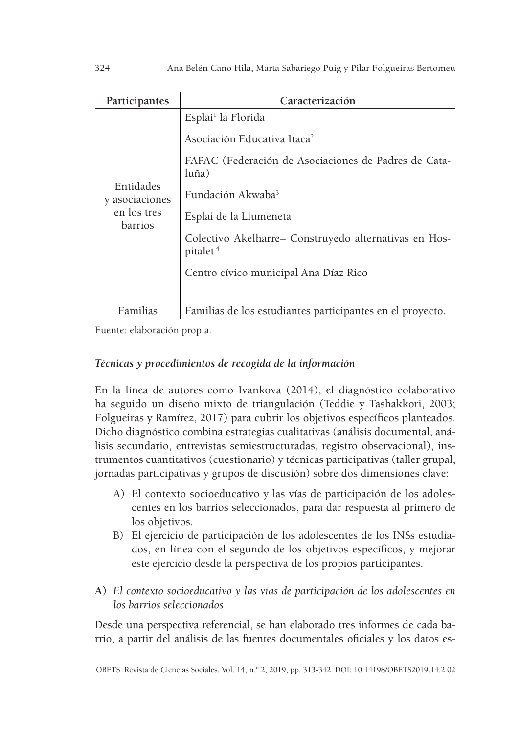| Participantes                                                | Caracterización                                                               |
|--------------------------------------------------------------|-------------------------------------------------------------------------------|
| Entidades<br>y asociaciones<br>en los tres<br><b>barrios</b> | Esplai <sup>1</sup> la Florida                                                |
|                                                              | Asociación Educativa Itaca <sup>2</sup>                                       |
|                                                              | FAPAC (Federación de Asociaciones de Padres de Cata-<br>luña)                 |
|                                                              | Fundación Akwaba <sup>3</sup>                                                 |
|                                                              | Esplai de la Llumeneta                                                        |
|                                                              | Colectivo Akelharre- Construyedo alternativas en Hos-<br>pitalet <sup>4</sup> |
|                                                              | Centro cívico municipal Ana Díaz Rico                                         |
|                                                              |                                                                               |
| Familias                                                     | Familias de los estudiantes participantes en el proyecto.                     |

Fuente: elaboración propia.

# *Técnicas y procedimientos de recogida de la información*

En la línea de autores como Ivankova (2014), el diagnóstico colaborativo ha seguido un diseño mixto de triangulación (Teddie y Tashakkori, 2003; Folgueiras y Ramírez, 2017) para cubrir los objetivos específicos planteados. Dicho diagnóstico combina estrategias cualitativas (análisis documental, análisis secundario, entrevistas semiestructuradas, registro observacional), instrumentos cuantitativos (cuestionario) y técnicas participativas (taller grupal, jornadas participativas y grupos de discusión) sobre dos dimensiones clave:

- A) El contexto socioeducativo y las vías de participación de los adolescentes en los barrios seleccionados, para dar respuesta al primero de los objetivos.
- B) El ejercicio de participación de los adolescentes de los INSs estudiados, en línea con el segundo de los objetivos específicos, y mejorar este ejercicio desde la perspectiva de los propios participantes.
- **A)** *El contexto socioeducativo y las vías de participación de los adolescentes en los barrios seleccionados*

Desde una perspectiva referencial, se han elaborado tres informes de cada barrio, a partir del análisis de las fuentes documentales oficiales y los datos es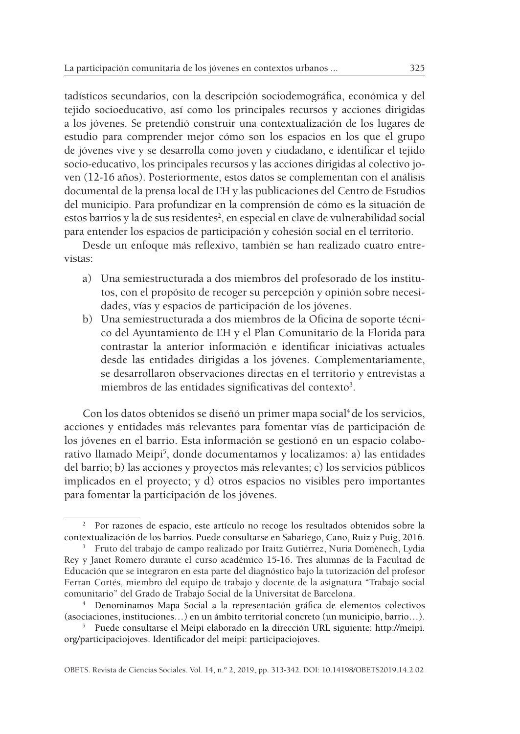tadísticos secundarios, con la descripción sociodemográfica, económica y del tejido socioeducativo, así como los principales recursos y acciones dirigidas a los jóvenes. Se pretendió construir una contextualización de los lugares de estudio para comprender mejor cómo son los espacios en los que el grupo de jóvenes vive y se desarrolla como joven y ciudadano, e identificar el tejido socio-educativo, los principales recursos y las acciones dirigidas al colectivo joven (12-16 años). Posteriormente, estos datos se complementan con el análisis documental de la prensa local de L'H y las publicaciones del Centro de Estudios del municipio. Para profundizar en la comprensión de cómo es la situación de estos barrios y la de sus residentes<sup>2</sup>, en especial en clave de vulnerabilidad social para entender los espacios de participación y cohesión social en el territorio.

Desde un enfoque más reflexivo, también se han realizado cuatro entrevistas:

- a) Una semiestructurada a dos miembros del profesorado de los institutos, con el propósito de recoger su percepción y opinión sobre necesidades, vías y espacios de participación de los jóvenes.
- b) Una semiestructurada a dos miembros de la Oficina de soporte técnico del Ayuntamiento de L'H y el Plan Comunitario de la Florida para contrastar la anterior información e identificar iniciativas actuales desde las entidades dirigidas a los jóvenes. Complementariamente, se desarrollaron observaciones directas en el territorio y entrevistas a miembros de las entidades significativas del contexto<sup>3</sup>.

Con los datos obtenidos se diseñó un primer mapa social<sup>4</sup> de los servicios, acciones y entidades más relevantes para fomentar vías de participación de los jóvenes en el barrio. Esta información se gestionó en un espacio colaborativo llamado Meipi<sup>5</sup>, donde documentamos y localizamos: a) las entidades del barrio; b) las acciones y proyectos más relevantes; c) los servicios públicos implicados en el proyecto; y d) otros espacios no visibles pero importantes para fomentar la participación de los jóvenes.

<sup>&</sup>lt;sup>2</sup> Por razones de espacio, este artículo no recoge los resultados obtenidos sobre la contextualización de los barrios. Puede consultarse en Sabariego, Cano, Ruiz y Puig, 2016.

<sup>&</sup>lt;sup>3</sup> Fruto del trabajo de campo realizado por Iraitz Gutiérrez, Nuria Domènech, Lydia Rey y Janet Romero durante el curso académico 15-16. Tres alumnas de la Facultad de Educación que se integraron en esta parte del diagnóstico bajo la tutorización del profesor Ferran Cortés, miembro del equipo de trabajo y docente de la asignatura "Trabajo social comunitario" del Grado de Trabajo Social de la Universitat de Barcelona.

<sup>4</sup> Denominamos Mapa Social a la representación gráfica de elementos colectivos (asociaciones, instituciones…) en un ámbito territorial concreto (un municipio, barrio…).

<sup>5</sup> Puede consultarse el Meipi elaborado en la dirección URL siguiente: http://meipi. org/participaciojoves. Identificador del meipi: participaciojoves.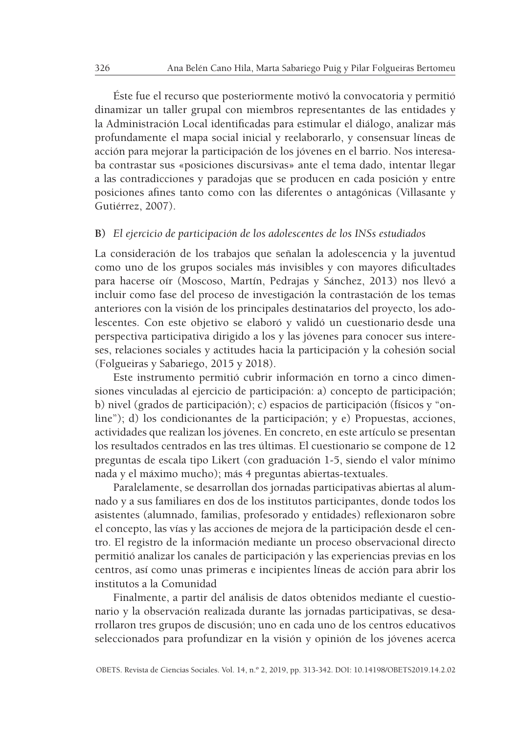Éste fue el recurso que posteriormente motivó la convocatoria y permitió dinamizar un taller grupal con miembros representantes de las entidades y la Administración Local identificadas para estimular el diálogo, analizar más profundamente el mapa social inicial y reelaborarlo, y consensuar líneas de acción para mejorar la participación de los jóvenes en el barrio. Nos interesaba contrastar sus «posiciones discursivas» ante el tema dado, intentar llegar a las contradicciones y paradojas que se producen en cada posición y entre posiciones afines tanto como con las diferentes o antagónicas (Villasante y Gutiérrez, 2007).

#### **B)** *El ejercicio de participación de los adolescentes de los INSs estudiados*

La consideración de los trabajos que señalan la adolescencia y la juventud como uno de los grupos sociales más invisibles y con mayores dificultades para hacerse oír (Moscoso, Martín, Pedrajas y Sánchez, 2013) nos llevó a incluir como fase del proceso de investigación la contrastación de los temas anteriores con la visión de los principales destinatarios del proyecto, los adolescentes. Con este objetivo se elaboró y validó un cuestionario desde una perspectiva participativa dirigido a los y las jóvenes para conocer sus intereses, relaciones sociales y actitudes hacia la participación y la cohesión social (Folgueiras y Sabariego, 2015 y 2018).

Este instrumento permitió cubrir información en torno a cinco dimensiones vinculadas al ejercicio de participación: a) concepto de participación; b) nivel (grados de participación); c) espacios de participación (físicos y "online"); d) los condicionantes de la participación; y e) Propuestas, acciones, actividades que realizan los jóvenes. En concreto, en este artículo se presentan los resultados centrados en las tres últimas. El cuestionario se compone de 12 preguntas de escala tipo Likert (con graduación 1-5, siendo el valor mínimo nada y el máximo mucho); más 4 preguntas abiertas-textuales.

Paralelamente, se desarrollan dos jornadas participativas abiertas al alumnado y a sus familiares en dos de los institutos participantes, donde todos los asistentes (alumnado, familias, profesorado y entidades) reflexionaron sobre el concepto, las vías y las acciones de mejora de la participación desde el centro. El registro de la información mediante un proceso observacional directo permitió analizar los canales de participación y las experiencias previas en los centros, así como unas primeras e incipientes líneas de acción para abrir los institutos a la Comunidad

Finalmente, a partir del análisis de datos obtenidos mediante el cuestionario y la observación realizada durante las jornadas participativas, se desarrollaron tres grupos de discusión; uno en cada uno de los centros educativos seleccionados para profundizar en la visión y opinión de los jóvenes acerca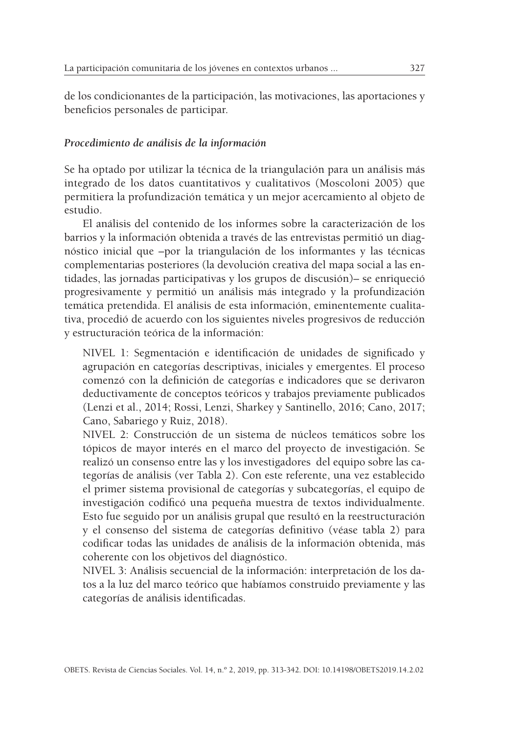de los condicionantes de la participación, las motivaciones, las aportaciones y beneficios personales de participar.

### *Procedimiento de análisis de la información*

Se ha optado por utilizar la técnica de la triangulación para un análisis más integrado de los datos cuantitativos y cualitativos (Moscoloni 2005) que permitiera la profundización temática y un mejor acercamiento al objeto de estudio.

El análisis del contenido de los informes sobre la caracterización de los barrios y la información obtenida a través de las entrevistas permitió un diagnóstico inicial que –por la triangulación de los informantes y las técnicas complementarias posteriores (la devolución creativa del mapa social a las entidades, las jornadas participativas y los grupos de discusión)– se enriqueció progresivamente y permitió un análisis más integrado y la profundización temática pretendida. El análisis de esta información, eminentemente cualitativa, procedió de acuerdo con los siguientes niveles progresivos de reducción y estructuración teórica de la información:

NIVEL 1: Segmentación e identificación de unidades de significado y agrupación en categorías descriptivas, iniciales y emergentes. El proceso comenzó con la definición de categorías e indicadores que se derivaron deductivamente de conceptos teóricos y trabajos previamente publicados (Lenzi et al., 2014; Rossi, Lenzi, Sharkey y Santinello, 2016; Cano, 2017; Cano, Sabariego y Ruiz, 2018).

NIVEL 2: Construcción de un sistema de núcleos temáticos sobre los tópicos de mayor interés en el marco del proyecto de investigación. Se realizó un consenso entre las y los investigadores del equipo sobre las categorías de análisis (ver Tabla 2). Con este referente, una vez establecido el primer sistema provisional de categorías y subcategorías, el equipo de investigación codificó una pequeña muestra de textos individualmente. Esto fue seguido por un análisis grupal que resultó en la reestructuración y el consenso del sistema de categorías definitivo (véase tabla 2) para codificar todas las unidades de análisis de la información obtenida, más coherente con los objetivos del diagnóstico.

NIVEL 3: Análisis secuencial de la información: interpretación de los datos a la luz del marco teórico que habíamos construido previamente y las categorías de análisis identificadas.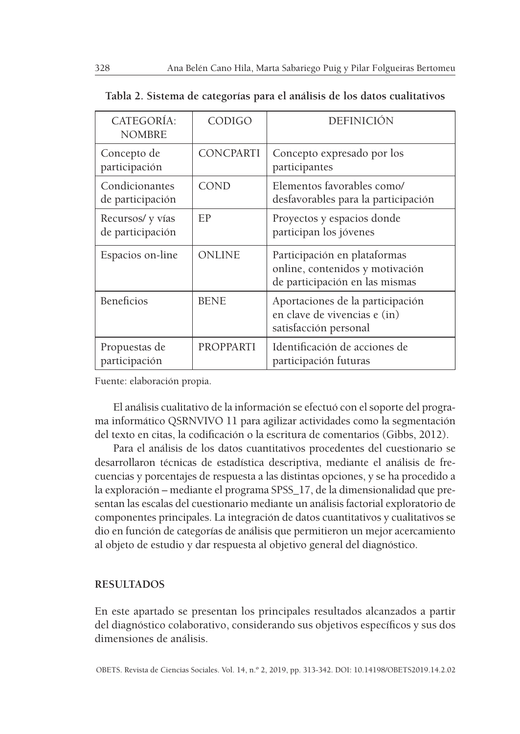| CATEGORÍA:<br><b>NOMBRE</b>         | CODIGO           | <b>DEFINICIÓN</b>                                                                                 |
|-------------------------------------|------------------|---------------------------------------------------------------------------------------------------|
| Concepto de<br>participación        | CONCPARTI        | Concepto expresado por los<br>participantes                                                       |
| Condicionantes<br>de participación  | COND             | Elementos favorables como/<br>desfavorables para la participación                                 |
| Recursos/y vías<br>de participación | EP               | Proyectos y espacios donde<br>participan los jóvenes                                              |
| Espacios on-line                    | ONLINE           | Participación en plataformas<br>online, contenidos y motivación<br>de participación en las mismas |
| <b>Beneficios</b>                   | <b>BENE</b>      | Aportaciones de la participación<br>en clave de vivencias e (in)<br>satisfacción personal         |
| Propuestas de<br>participación      | <b>PROPPARTI</b> | Identificación de acciones de<br>participación futuras                                            |

| Tabla 2. Sistema de categorías para el análisis de los datos cualitativos |  |  |  |  |
|---------------------------------------------------------------------------|--|--|--|--|
|---------------------------------------------------------------------------|--|--|--|--|

Fuente: elaboración propia.

El análisis cualitativo de la información se efectuó con el soporte del programa informático QSRNVIVO 11 para agilizar actividades como la segmentación del texto en citas, la codificación o la escritura de comentarios (Gibbs, 2012).

Para el análisis de los datos cuantitativos procedentes del cuestionario se desarrollaron técnicas de estadística descriptiva, mediante el análisis de frecuencias y porcentajes de respuesta a las distintas opciones, y se ha procedido a la exploración – mediante el programa SPSS\_17, de la dimensionalidad que presentan las escalas del cuestionario mediante un análisis factorial exploratorio de componentes principales. La integración de datos cuantitativos y cualitativos se dio en función de categorías de análisis que permitieron un mejor acercamiento al objeto de estudio y dar respuesta al objetivo general del diagnóstico.

### **RESULTADOS**

En este apartado se presentan los principales resultados alcanzados a partir del diagnóstico colaborativo, considerando sus objetivos específicos y sus dos dimensiones de análisis.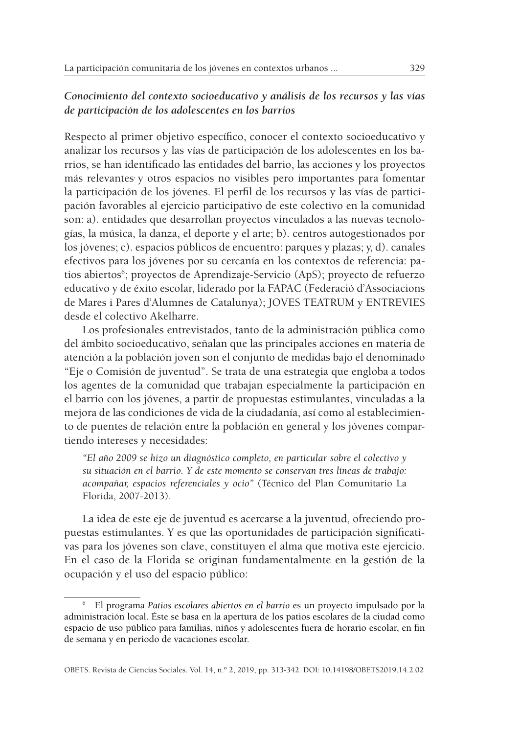# *Conocimiento del contexto socioeducativo y análisis de los recursos y las vías de participación de los adolescentes en los barrios*

Respecto al primer objetivo específico, conocer el contexto socioeducativo y analizar los recursos y las vías de participación de los adolescentes en los barrios, se han identificado las entidades del barrio, las acciones y los proyectos más relevantes y otros espacios no visibles pero importantes para fomentar la participación de los jóvenes. El perfil de los recursos y las vías de participación favorables al ejercicio participativo de este colectivo en la comunidad son: a). entidades que desarrollan proyectos vinculados a las nuevas tecnologías, la música, la danza, el deporte y el arte; b). centros autogestionados por los jóvenes; c). espacios públicos de encuentro: parques y plazas; y, d). canales efectivos para los jóvenes por su cercanía en los contextos de referencia: patios abiertos<sup>6</sup>; proyectos de Aprendizaje-Servicio (ApS); proyecto de refuerzo educativo y de éxito escolar, liderado por la FAPAC (Federació d'Associacions de Mares i Pares d'Alumnes de Catalunya); JOVES TEATRUM y ENTREVIES desde el colectivo Akelharre.

Los profesionales entrevistados, tanto de la administración pública como del ámbito socioeducativo, señalan que las principales acciones en materia de atención a la población joven son el conjunto de medidas bajo el denominado "Eje o Comisión de juventud". Se trata de una estrategia que engloba a todos los agentes de la comunidad que trabajan especialmente la participación en el barrio con los jóvenes, a partir de propuestas estimulantes, vinculadas a la mejora de las condiciones de vida de la ciudadanía, así como al establecimiento de puentes de relación entre la población en general y los jóvenes compartiendo intereses y necesidades:

*"El año 2009 se hizo un diagnóstico completo, en particular sobre el colectivo y su situación en el barrio. Y de este momento se conservan tres líneas de trabajo: acompañar, espacios referenciales y ocio"* (Técnico del Plan Comunitario La Florida, 2007-2013).

La idea de este eje de juventud es acercarse a la juventud, ofreciendo propuestas estimulantes. Y es que las oportunidades de participación significativas para los jóvenes son clave, constituyen el alma que motiva este ejercicio. En el caso de la Florida se originan fundamentalmente en la gestión de la ocupación y el uso del espacio público:

<sup>6</sup> El programa *Patios escolares abiertos en el barrio* es un proyecto impulsado por la administración local. Éste se basa en la apertura de los patios escolares de la ciudad como espacio de uso público para familias, niños y adolescentes fuera de horario escolar, en fin de semana y en periodo de vacaciones escolar.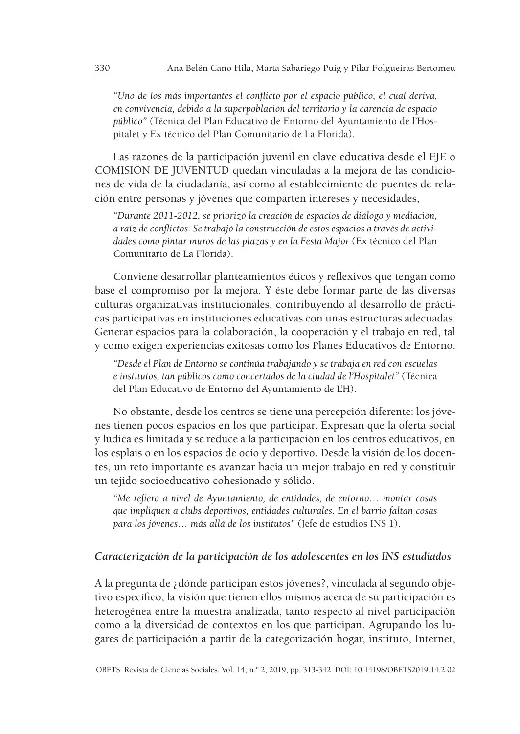*"Uno de los más importantes el conflicto por el espacio público, el cual deriva, en convivencia, debido a la superpoblación del territorio y la carencia de espacio público"* (Técnica del Plan Educativo de Entorno del Ayuntamiento de l'Hospitalet y Ex técnico del Plan Comunitario de La Florida).

Las razones de la participación juvenil en clave educativa desde el EJE o COMISION DE JUVENTUD quedan vinculadas a la mejora de las condiciones de vida de la ciudadanía, así como al establecimiento de puentes de relación entre personas y jóvenes que comparten intereses y necesidades,

*"Durante 2011-2012, se priorizó la creación de espacios de diálogo y mediación, a raíz de conflictos. Se trabajó la construcción de estos espacios a través de actividades como pintar muros de las plazas y en la Festa Major* (Ex técnico del Plan Comunitario de La Florida).

Conviene desarrollar planteamientos éticos y reflexivos que tengan como base el compromiso por la mejora. Y éste debe formar parte de las diversas culturas organizativas institucionales, contribuyendo al desarrollo de prácticas participativas en instituciones educativas con unas estructuras adecuadas. Generar espacios para la colaboración, la cooperación y el trabajo en red, tal y como exigen experiencias exitosas como los Planes Educativos de Entorno.

*"Desde el Plan de Entorno se continúa trabajando y se trabaja en red con escuelas e institutos, tan públicos como concertados de la ciudad de l'Hospitalet"* (Técnica del Plan Educativo de Entorno del Ayuntamiento de L'H).

No obstante, desde los centros se tiene una percepción diferente: los jóvenes tienen pocos espacios en los que participar. Expresan que la oferta social y lúdica es limitada y se reduce a la participación en los centros educativos, en los esplais o en los espacios de ocio y deportivo. Desde la visión de los docentes, un reto importante es avanzar hacia un mejor trabajo en red y constituir un tejido socioeducativo cohesionado y sólido.

*"Me refiero a nivel de Ayuntamiento, de entidades, de entorno… montar cosas que impliquen a clubs deportivos, entidades culturales. En el barrio faltan cosas para los jóvenes… más allá de los institutos"* (Jefe de estudios INS 1).

#### *Caracterización de la participación de los adolescentes en los INS estudiados*

A la pregunta de ¿dónde participan estos jóvenes?, vinculada al segundo objetivo específico, la visión que tienen ellos mismos acerca de su participación es heterogénea entre la muestra analizada, tanto respecto al nivel participación como a la diversidad de contextos en los que participan. Agrupando los lugares de participación a partir de la categorización hogar, instituto, Internet,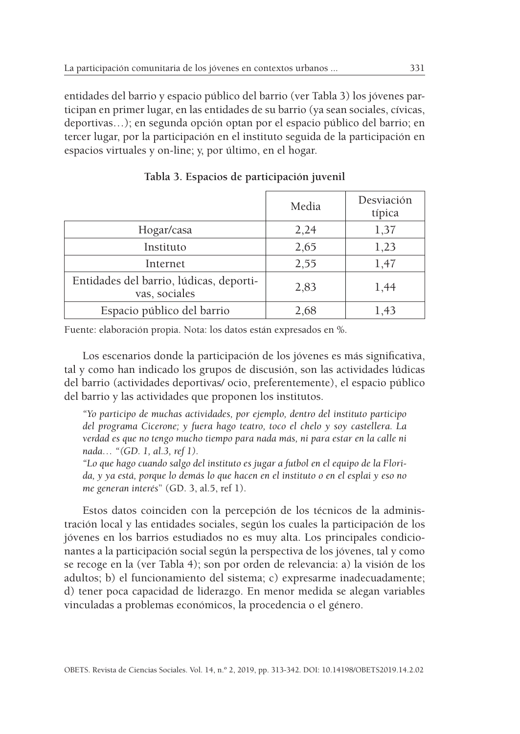entidades del barrio y espacio público del barrio (ver Tabla 3) los jóvenes participan en primer lugar, en las entidades de su barrio (ya sean sociales, cívicas, deportivas…); en segunda opción optan por el espacio público del barrio; en tercer lugar, por la participación en el instituto seguida de la participación en espacios virtuales y on-line; y, por último, en el hogar.

|                                                          | Media | Desviación<br>típica |
|----------------------------------------------------------|-------|----------------------|
| Hogar/casa                                               | 2,24  | 1,37                 |
| Instituto                                                | 2,65  | 1,23                 |
| Internet                                                 | 2,55  | 1,47                 |
| Entidades del barrio, lúdicas, deporti-<br>vas, sociales | 2,83  | 1,44                 |
| Espacio público del barrio                               | 2,68  | 1.43                 |

**Tabla 3. Espacios de participación juvenil**

Fuente: elaboración propia. Nota: los datos están expresados en %.

Los escenarios donde la participación de los jóvenes es más significativa, tal y como han indicado los grupos de discusión, son las actividades lúdicas del barrio (actividades deportivas/ ocio, preferentemente), el espacio público del barrio y las actividades que proponen los institutos.

*"Yo participo de muchas actividades, por ejemplo, dentro del instituto participo del programa Cicerone; y fuera hago teatro, toco el chelo y soy castellera. La verdad es que no tengo mucho tiempo para nada más, ni para estar en la calle ni nada… "(GD. 1, al.3, ref 1).*

*"Lo que hago cuando salgo del instituto es jugar a futbol en el equipo de la Florida, y ya está, porque lo demás lo que hacen en el instituto o en el esplai y eso no me generan interés*" (GD. 3, al.5, ref 1).

Estos datos coinciden con la percepción de los técnicos de la administración local y las entidades sociales, según los cuales la participación de los jóvenes en los barrios estudiados no es muy alta. Los principales condicionantes a la participación social según la perspectiva de los jóvenes, tal y como se recoge en la (ver Tabla 4); son por orden de relevancia: a) la visión de los adultos; b) el funcionamiento del sistema; c) expresarme inadecuadamente; d) tener poca capacidad de liderazgo. En menor medida se alegan variables vinculadas a problemas económicos, la procedencia o el género.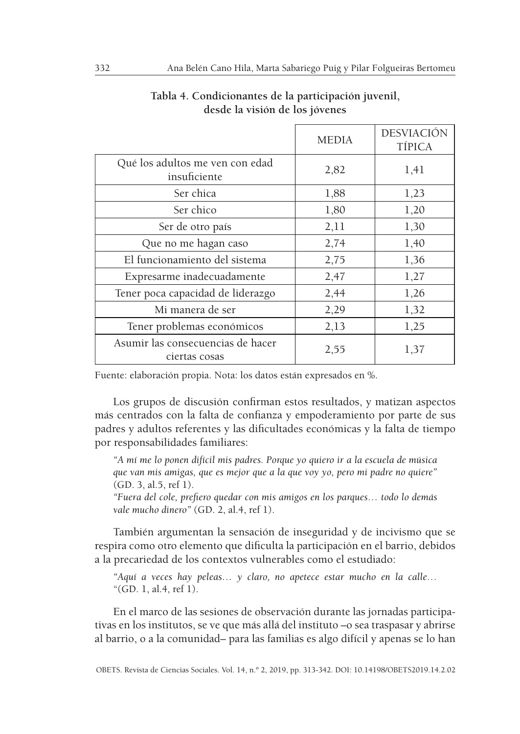|                                                    | <b>MEDIA</b> | <b>DESVIACIÓN</b><br><b>TÍPICA</b> |
|----------------------------------------------------|--------------|------------------------------------|
| Qué los adultos me ven con edad<br>insuficiente    | 2,82         | 1,41                               |
| Ser chica                                          | 1,88         | 1,23                               |
| Ser chico                                          | 1,80         | 1,20                               |
| Ser de otro país                                   | 2,11         | 1,30                               |
| Que no me hagan caso                               | 2,74         | 1,40                               |
| El funcionamiento del sistema                      | 2,75         | 1,36                               |
| Expresarme inadecuadamente                         | 2,47         | 1,27                               |
| Tener poca capacidad de liderazgo                  | 2,44         | 1,26                               |
| Mi manera de ser                                   | 2,29         | 1,32                               |
| Tener problemas económicos                         | 2,13         | 1,25                               |
| Asumir las consecuencias de hacer<br>ciertas cosas | 2,55         | 1,37                               |

# **Tabla 4. Condicionantes de la participación juvenil, desde la visión de los jóvenes**

Fuente: elaboración propia. Nota: los datos están expresados en %.

Los grupos de discusión confirman estos resultados, y matizan aspectos más centrados con la falta de confianza y empoderamiento por parte de sus padres y adultos referentes y las dificultades económicas y la falta de tiempo por responsabilidades familiares:

*"A mí me lo ponen difícil mis padres. Porque yo quiero ir a la escuela de música que van mis amigas, que es mejor que a la que voy yo, pero mi padre no quiere"* (GD. 3, al.5, ref 1).

*"Fuera del cole, prefiero quedar con mis amigos en los parques… todo lo demás vale mucho dinero"* (GD. 2, al.4, ref 1).

También argumentan la sensación de inseguridad y de incivismo que se respira como otro elemento que dificulta la participación en el barrio, debidos a la precariedad de los contextos vulnerables como el estudiado:

*"Aquí a veces hay peleas… y claro, no apetece estar mucho en la calle…* "(GD. 1, al.4, ref 1).

En el marco de las sesiones de observación durante las jornadas participativas en los institutos, se ve que más allá del instituto –o sea traspasar y abrirse al barrio, o a la comunidad– para las familias es algo difícil y apenas se lo han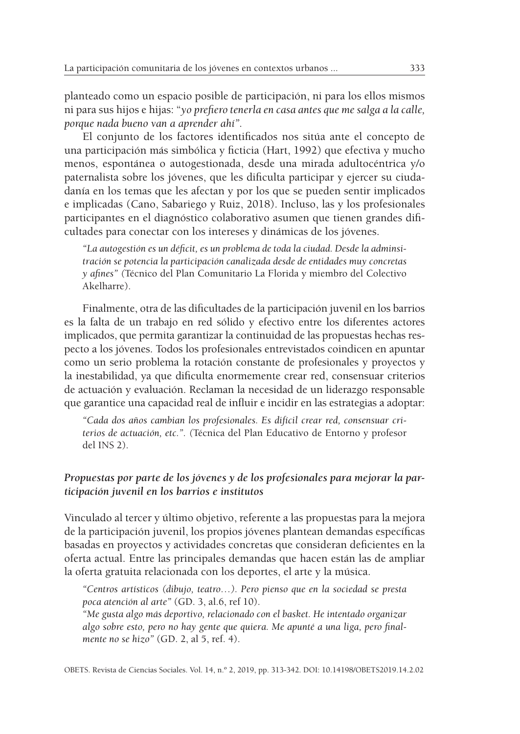planteado como un espacio posible de participación, ni para los ellos mismos ni para sus hijos e hijas: "*yo prefiero tenerla en casa antes que me salga a la calle, porque nada bueno van a aprender ahí".*

El conjunto de los factores identificados nos sitúa ante el concepto de una participación más simbólica y ficticia (Hart, 1992) que efectiva y mucho menos, espontánea o autogestionada, desde una mirada adultocéntrica y/o paternalista sobre los jóvenes, que les dificulta participar y ejercer su ciudadanía en los temas que les afectan y por los que se pueden sentir implicados e implicadas (Cano, Sabariego y Ruiz, 2018). Incluso, las y los profesionales participantes en el diagnóstico colaborativo asumen que tienen grandes dificultades para conectar con los intereses y dinámicas de los jóvenes.

*"La autogestión es un déficit, es un problema de toda la ciudad. Desde la adminsitración se potencia la participación canalizada desde de entidades muy concretas y afines" (*Técnico del Plan Comunitario La Florida y miembro del Colectivo Akelharre).

Finalmente, otra de las dificultades de la participación juvenil en los barrios es la falta de un trabajo en red sólido y efectivo entre los diferentes actores implicados, que permita garantizar la continuidad de las propuestas hechas respecto a los jóvenes. Todos los profesionales entrevistados coindicen en apuntar como un serio problema la rotación constante de profesionales y proyectos y la inestabilidad, ya que dificulta enormemente crear red, consensuar criterios de actuación y evaluación. Reclaman la necesidad de un liderazgo responsable que garantice una capacidad real de influir e incidir en las estrategias a adoptar:

*"Cada dos años cambian los profesionales. Es difícil crear red, consensuar criterios de actuación, etc.". (*Técnica del Plan Educativo de Entorno y profesor del INS 2).

### *Propuestas por parte de los jóvenes y de los profesionales para mejorar la participación juvenil en los barrios e institutos*

Vinculado al tercer y último objetivo, referente a las propuestas para la mejora de la participación juvenil, los propios jóvenes plantean demandas específicas basadas en proyectos y actividades concretas que consideran deficientes en la oferta actual. Entre las principales demandas que hacen están las de ampliar la oferta gratuita relacionada con los deportes, el arte y la música.

*"Centros artísticos (dibujo, teatro…). Pero pienso que en la sociedad se presta poca atención al arte"* (GD. 3, al.6, ref 10).

*"Me gusta algo más deportivo, relacionado con el basket. He intentado organizar algo sobre esto, pero no hay gente que quiera. Me apunté a una liga, pero finalmente no se hizo"* (GD. 2, al 5, ref. 4).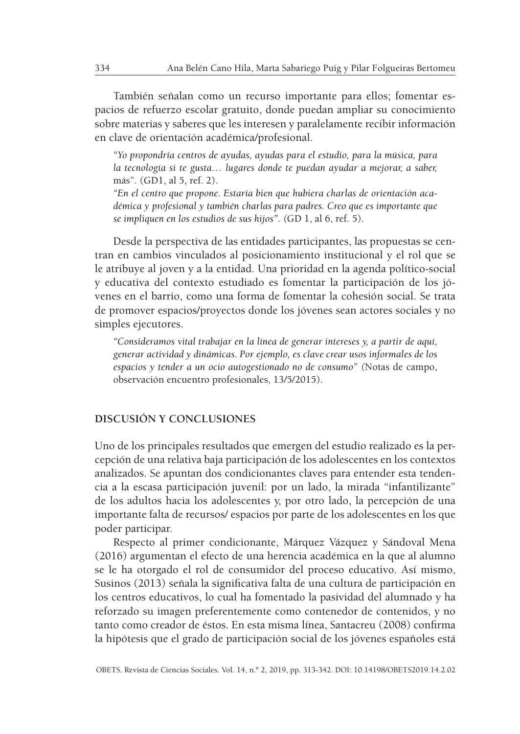También señalan como un recurso importante para ellos; fomentar espacios de refuerzo escolar gratuito, donde puedan ampliar su conocimiento sobre materias y saberes que les interesen y paralelamente recibir información en clave de orientación académica/profesional.

*"Yo propondría centros de ayudas, ayudas para el estudio, para la música, para la tecnología si te gusta… lugares donde te puedan ayudar a mejorar, a saber,* más". (GD1, al 5, ref. 2).

*"En el centro que propone. Estaría bien que hubiera charlas de orientación académica y profesional y también charlas para padres. Creo que es importante que se impliquen en los estudios de sus hijos". (*GD 1, al 6, ref. 5).

Desde la perspectiva de las entidades participantes, las propuestas se centran en cambios vinculados al posicionamiento institucional y el rol que se le atribuye al joven y a la entidad. Una prioridad en la agenda político-social y educativa del contexto estudiado es fomentar la participación de los jóvenes en el barrio, como una forma de fomentar la cohesión social. Se trata de promover espacios/proyectos donde los jóvenes sean actores sociales y no simples ejecutores.

*"Consideramos vital trabajar en la línea de generar intereses y, a partir de aquí, generar actividad y dinámicas. Por ejemplo, es clave crear usos informales de los espacios y tender a un ocio autogestionado no de consumo" (*Notas de campo, observación encuentro profesionales, 13/5/2015).

# **DISCUSIÓN Y CONCLUSIONES**

Uno de los principales resultados que emergen del estudio realizado es la percepción de una relativa baja participación de los adolescentes en los contextos analizados. Se apuntan dos condicionantes claves para entender esta tendencia a la escasa participación juvenil: por un lado, la mirada "infantilizante" de los adultos hacia los adolescentes y, por otro lado, la percepción de una importante falta de recursos/ espacios por parte de los adolescentes en los que poder participar.

Respecto al primer condicionante, Márquez Vázquez y Sándoval Mena (2016) argumentan el efecto de una herencia académica en la que al alumno se le ha otorgado el rol de consumidor del proceso educativo. Así mismo, Susinos (2013) señala la significativa falta de una cultura de participación en los centros educativos, lo cual ha fomentado la pasividad del alumnado y ha reforzado su imagen preferentemente como contenedor de contenidos, y no tanto como creador de éstos. En esta misma línea, Santacreu (2008) confirma la hipótesis que el grado de participación social de los jóvenes españoles está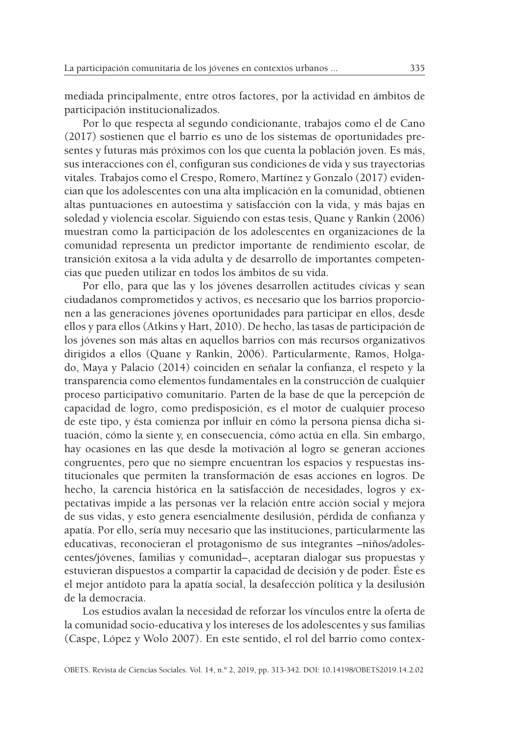mediada principalmente, entre otros factores, por la actividad en ámbitos de participación institucionalizados.

Por lo que respecta al segundo condicionante, trabajos como el de Cano (2017) sostienen que el barrio es uno de los sistemas de oportunidades presentes y futuras más próximos con los que cuenta la población joven. Es más, sus interacciones con él, configuran sus condiciones de vida y sus trayectorias vitales. Trabajos como el Crespo, Romero, Martínez y Gonzalo (2017) evidencian que los adolescentes con una alta implicación en la comunidad, obtienen altas puntuaciones en autoestima y satisfacción con la vida, y más bajas en soledad y violencia escolar. Siguiendo con estas tesis, Quane y Rankin (2006) muestran como la participación de los adolescentes en organizaciones de la comunidad representa un predictor importante de rendimiento escolar, de transición exitosa a la vida adulta y de desarrollo de importantes competencias que pueden utilizar en todos los ámbitos de su vida.

Por ello, para que las y los jóvenes desarrollen actitudes cívicas y sean ciudadanos comprometidos y activos, es necesario que los barrios proporcionen a las generaciones jóvenes oportunidades para participar en ellos, desde ellos y para ellos (Atkins y Hart, 2010). De hecho, las tasas de participación de los jóvenes son más altas en aquellos barrios con más recursos organizativos dirigidos a ellos (Quane y Rankin, 2006). Particularmente, Ramos, Holgado, Maya y Palacio (2014) coinciden en señalar la confianza, el respeto y la transparencia como elementos fundamentales en la construcción de cualquier proceso participativo comunitario. Parten de la base de que la percepción de capacidad de logro, como predisposición, es el motor de cualquier proceso de este tipo, y ésta comienza por influir en cómo la persona piensa dicha situación, cómo la siente y, en consecuencia, cómo actúa en ella. Sin embargo, hay ocasiones en las que desde la motivación al logro se generan acciones congruentes, pero que no siempre encuentran los espacios y respuestas institucionales que permiten la transformación de esas acciones en logros. De hecho, la carencia histórica en la satisfacción de necesidades, logros y expectativas impide a las personas ver la relación entre acción social y mejora de sus vidas, y esto genera esencialmente desilusión, pérdida de confianza y apatía. Por ello, sería muy necesario que las instituciones, particularmente las educativas, reconocieran el protagonismo de sus integrantes –niños/adolescentes/jóvenes, familias y comunidad–, aceptaran dialogar sus propuestas y estuvieran dispuestos a compartir la capacidad de decisión y de poder. Éste es el mejor antídoto para la apatía social, la desafección política y la desilusión de la democracia.

Los estudios avalan la necesidad de reforzar los vínculos entre la oferta de la comunidad socio-educativa y los intereses de los adolescentes y sus familias (Caspe, López y Wolo 2007). En este sentido, el rol del barrio como contex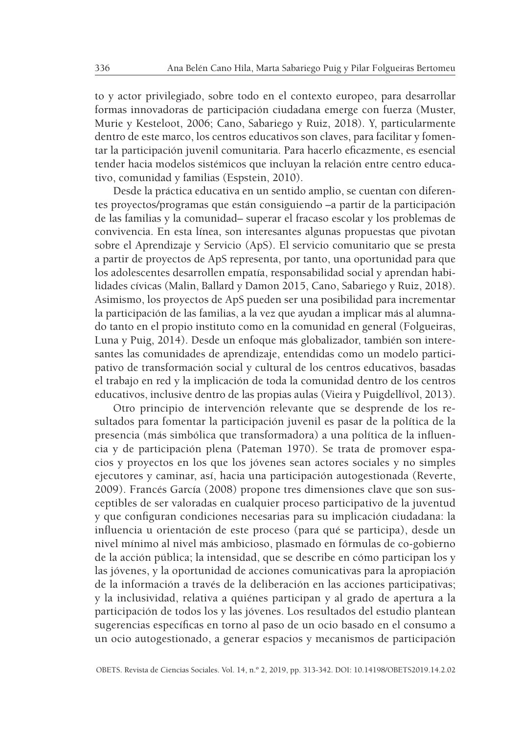to y actor privilegiado, sobre todo en el contexto europeo, para desarrollar formas innovadoras de participación ciudadana emerge con fuerza (Muster, Murie y Kesteloot, 2006; Cano, Sabariego y Ruiz, 2018). Y, particularmente dentro de este marco, los centros educativos son claves, para facilitar y fomentar la participación juvenil comunitaria. Para hacerlo eficazmente, es esencial tender hacia modelos sistémicos que incluyan la relación entre centro educativo, comunidad y familias (Espstein, 2010).

Desde la práctica educativa en un sentido amplio, se cuentan con diferentes proyectos/programas que están consiguiendo –a partir de la participación de las familias y la comunidad– superar el fracaso escolar y los problemas de convivencia. En esta línea, son interesantes algunas propuestas que pivotan sobre el Aprendizaje y Servicio (ApS). El servicio comunitario que se presta a partir de proyectos de ApS representa, por tanto, una oportunidad para que los adolescentes desarrollen empatía, responsabilidad social y aprendan habilidades cívicas (Malin, Ballard y Damon 2015, Cano, Sabariego y Ruiz, 2018). Asimismo, los proyectos de ApS pueden ser una posibilidad para incrementar la participación de las familias, a la vez que ayudan a implicar más al alumnado tanto en el propio instituto como en la comunidad en general (Folgueiras, Luna y Puig, 2014). Desde un enfoque más globalizador, también son interesantes las comunidades de aprendizaje, entendidas como un modelo participativo de transformación social y cultural de los centros educativos, basadas el trabajo en red y la implicación de toda la comunidad dentro de los centros educativos, inclusive dentro de las propias aulas (Vieira y Puigdellívol, 2013).

Otro principio de intervención relevante que se desprende de los resultados para fomentar la participación juvenil es pasar de la política de la presencia (más simbólica que transformadora) a una política de la influencia y de participación plena (Pateman 1970). Se trata de promover espacios y proyectos en los que los jóvenes sean actores sociales y no simples ejecutores y caminar, así, hacia una participación autogestionada (Reverte, 2009). Francés García (2008) propone tres dimensiones clave que son susceptibles de ser valoradas en cualquier proceso participativo de la juventud y que configuran condiciones necesarias para su implicación ciudadana: la influencia u orientación de este proceso (para qué se participa), desde un nivel mínimo al nivel más ambicioso, plasmado en fórmulas de co-gobierno de la acción pública; la intensidad, que se describe en cómo participan los y las jóvenes, y la oportunidad de acciones comunicativas para la apropiación de la información a través de la deliberación en las acciones participativas; y la inclusividad, relativa a quiénes participan y al grado de apertura a la participación de todos los y las jóvenes. Los resultados del estudio plantean sugerencias específicas en torno al paso de un ocio basado en el consumo a un ocio autogestionado, a generar espacios y mecanismos de participación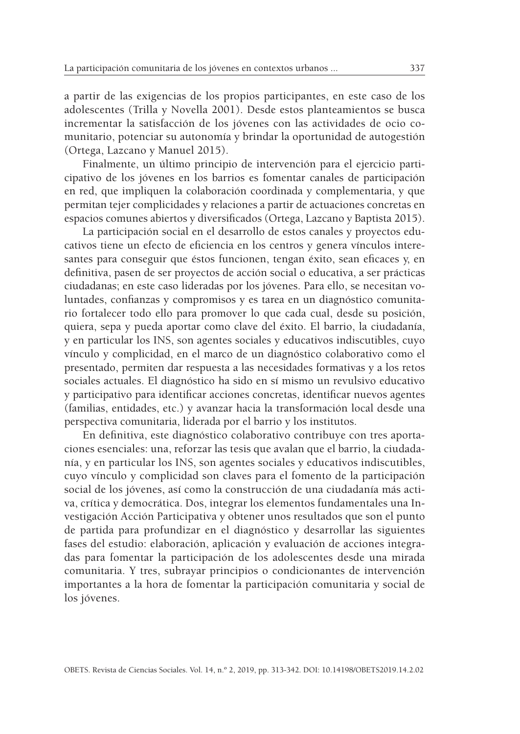a partir de las exigencias de los propios participantes, en este caso de los adolescentes (Trilla y Novella 2001). Desde estos planteamientos se busca incrementar la satisfacción de los jóvenes con las actividades de ocio comunitario, potenciar su autonomía y brindar la oportunidad de autogestión (Ortega, Lazcano y Manuel 2015).

Finalmente, un último principio de intervención para el ejercicio participativo de los jóvenes en los barrios es fomentar canales de participación en red, que impliquen la colaboración coordinada y complementaria, y que permitan tejer complicidades y relaciones a partir de actuaciones concretas en espacios comunes abiertos y diversificados (Ortega, Lazcano y Baptista 2015).

La participación social en el desarrollo de estos canales y proyectos educativos tiene un efecto de eficiencia en los centros y genera vínculos interesantes para conseguir que éstos funcionen, tengan éxito, sean eficaces y, en definitiva, pasen de ser proyectos de acción social o educativa, a ser prácticas ciudadanas; en este caso lideradas por los jóvenes. Para ello, se necesitan voluntades, confianzas y compromisos y es tarea en un diagnóstico comunitario fortalecer todo ello para promover lo que cada cual, desde su posición, quiera, sepa y pueda aportar como clave del éxito. El barrio, la ciudadanía, y en particular los INS, son agentes sociales y educativos indiscutibles, cuyo vínculo y complicidad, en el marco de un diagnóstico colaborativo como el presentado, permiten dar respuesta a las necesidades formativas y a los retos sociales actuales. El diagnóstico ha sido en sí mismo un revulsivo educativo y participativo para identificar acciones concretas, identificar nuevos agentes (familias, entidades, etc.) y avanzar hacia la transformación local desde una perspectiva comunitaria, liderada por el barrio y los institutos.

En definitiva, este diagnóstico colaborativo contribuye con tres aportaciones esenciales: una, reforzar las tesis que avalan que el barrio, la ciudadanía, y en particular los INS, son agentes sociales y educativos indiscutibles, cuyo vínculo y complicidad son claves para el fomento de la participación social de los jóvenes, así como la construcción de una ciudadanía más activa, crítica y democrática. Dos, integrar los elementos fundamentales una Investigación Acción Participativa y obtener unos resultados que son el punto de partida para profundizar en el diagnóstico y desarrollar las siguientes fases del estudio: elaboración, aplicación y evaluación de acciones integradas para fomentar la participación de los adolescentes desde una mirada comunitaria. Y tres, subrayar principios o condicionantes de intervención importantes a la hora de fomentar la participación comunitaria y social de los jóvenes.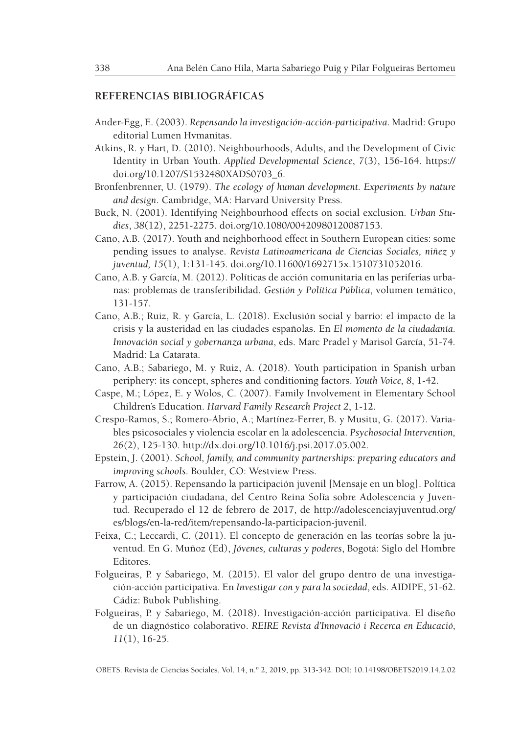### **REFERENCIAS BIBLIOGRÁFICAS**

- Ander-Egg, E. (2003). *Repensando la investigación-acción-participativa*. Madrid: Grupo editorial Lumen Hvmanitas.
- Atkins, R. y Hart, D. (2010). Neighbourhoods, Adults, and the Development of Civic Identity in Urban Youth. *Applied Developmental Science*, *7*(3), 156-164. https:// doi.org/10.1207/S1532480XADS0703\_6.
- Bronfenbrenner, U. (1979). *The ecology of human development. Experiments by nature and design*. Cambridge, MA: Harvard University Press.
- Buck, N. (2001). Identifying Neighbourhood effects on social exclusion. *Urban Studies*, *38*(12), 2251-2275. doi.org/10.1080/00420980120087153.
- Cano, A.B. (2017). Youth and neighborhood effect in Southern European cities: some pending issues to analyse. *Revista Latinoamericana de Ciencias Sociales, niñez y juventud, 15*(1), 1:131-145. doi.org/10.11600/1692715x.1510731052016.
- Cano, A.B. y García, M. (2012). Políticas de acción comunitaria en las periferias urbanas: problemas de transferibilidad. *Gestión y Política Pública*, volumen temático, 131-157.
- Cano, A.B.; Ruiz, R. y García, L. (2018). Exclusión social y barrio: el impacto de la crisis y la austeridad en las ciudades españolas. En *El momento de la ciudadanía. Innovación social y gobernanza urbana*, eds. Marc Pradel y Marisol García, 51-74*.* Madrid: La Catarata.
- Cano, A.B.; Sabariego, M. y Ruiz, A. (2018). Youth participation in Spanish urban periphery: its concept, spheres and conditioning factors. *Youth Voice, 8*, 1-42.
- Caspe, M.; López, E. y Wolos, C. (2007). Family Involvement in Elementary School Children's Education. *Harvard Family Research Project 2*, 1-12.
- Crespo-Ramos, S.; Romero-Abrio, A.; Martínez-Ferrer, B. y Musitu, G. (2017). Variables psicosociales y violencia escolar en la adolescencia. *Psychosocial Intervention, 26(*2), 125-130. http://dx.doi.org/10.1016/j.psi.2017.05.002.
- Epstein, J. (2001). *School, family, and community partnerships: preparing educators and improving schools*. Boulder, CO: Westview Press.
- Farrow, A. (2015). Repensando la participación juvenil [Mensaje en un blog]. Política y participación ciudadana, del Centro Reina Sofía sobre Adolescencia y Juventud. Recuperado el 12 de febrero de 2017, de http://adolescenciayjuventud.org/ es/blogs/en-la-red/item/repensando-la-participacion-juvenil.
- Feixa, C.; Leccardi, C. (2011). El concepto de generación en las teorías sobre la juventud. En G. Muñoz (Ed), *Jóvenes, culturas y poderes*, Bogotá: Siglo del Hombre Editores.
- Folgueiras, P. y Sabariego, M. (2015). El valor del grupo dentro de una investigación-acción participativa. En *Investigar con y para la sociedad*, eds. AIDIPE, 51-62. Cádiz: Bubok Publishing.
- Folgueiras, P. y Sabariego, M. (2018). Investigación-acción participativa. El diseño de un diagnóstico colaborativo. *REIRE Revista d'Innovació i Recerca en Educació, 11*(1), 16-25.

OBETS. Revista de Ciencias Sociales. Vol. 14, n.º 2, 2019, pp. 313-342. DOI: 10.14198/OBETS2019.14.2.02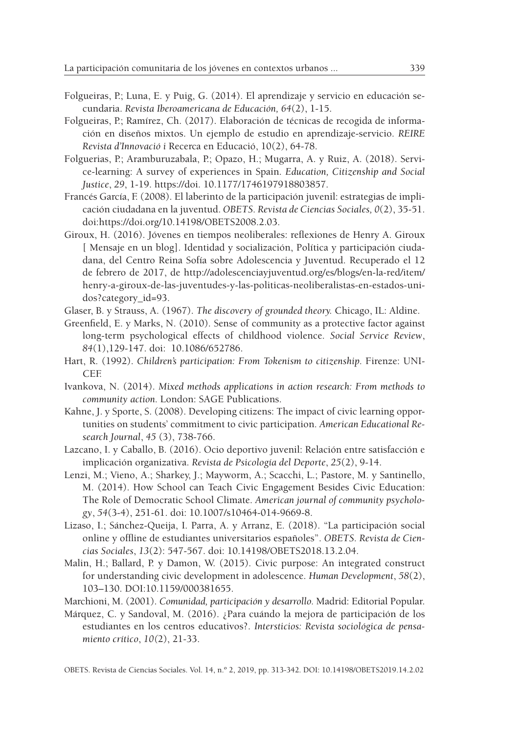- Folgueiras, P.; Luna, E. y Puig, G. (2014). El aprendizaje y servicio en educación secundaria. *Revista Iberoamericana de Educación, 64*(2), 1-15.
- Folgueiras, P.; Ramírez, Ch. (2017). Elaboración de técnicas de recogida de información en diseños mixtos. Un ejemplo de estudio en aprendizaje-servicio. *REIRE Revista d'Innovació i* Recerca en Educació, 10(2), 64-78.
- Folguerias, P.; Aramburuzabala, P.; Opazo, H.; Mugarra, A. y Ruiz, A. (2018). Service-learning: A survey of experiences in Spain. *Education, Citizenship and Social Justice*, *29*, 1-19. https://doi. 10.1177/1746197918803857.
- Francés García, F. (2008). El laberinto de la participación juvenil: estrategias de implicación ciudadana en la juventud. *OBETS. Revista de Ciencias Sociales, 0*(2), 35-51. doi:https://doi.org/10.14198/OBETS2008.2.03.
- Giroux, H. (2016). Jóvenes en tiempos neoliberales: reflexiones de Henry A. Giroux [ Mensaje en un blog]. Identidad y socialización, Política y participación ciudadana, del Centro Reina Sofía sobre Adolescencia y Juventud. Recuperado el 12 de febrero de 2017, de http://adolescenciayjuventud.org/es/blogs/en-la-red/item/ henry-a-giroux-de-las-juventudes-y-las-politicas-neoliberalistas-en-estados-unidos?category\_id=93.
- Glaser, B. y Strauss, A. (1967). *The discovery of grounded theory.* Chicago, IL: Aldine.
- Greenfield, E. y Marks, N. (2010). Sense of community as a protective factor against long-term psychological effects of childhood violence. *Social Service Review*, *84*(1),129-147. doi: 10.1086/652786.
- Hart, R. (1992). *Children's participation: From Tokenism to citizenship. Firenze: UNI-*CEF.
- Ivankova, N. (2014). *Mixed methods applications in action research: From methods to community action.* London: SAGE Publications.
- Kahne, J. y Sporte, S. (2008). Developing citizens: The impact of civic learning opportunities on students' commitment to civic participation. *American Educational Research Journal*, *45* (3), 738-766.
- Lazcano, I. y Caballo, B. (2016). Ocio deportivo juvenil: Relación entre satisfacción e implicación organizativa. *Revista de Psicología del Deporte*, *25*(2), 9-14.
- Lenzi, M.; Vieno, A.; Sharkey, J.; Mayworm, A.; Scacchi, L.; Pastore, M. y Santinello, M. (2014). How School can Teach Civic Engagement Besides Civic Education: The Role of Democratic School Climate. *American journal of community psychology*, *54*(3-4), 251-61. doi: 10.1007/s10464-014-9669-8.
- Lizaso, I.; Sánchez-Queija, I. Parra, A. y Arranz, E. (2018). "La participación social online y offline de estudiantes universitarios españoles". *OBETS. Revista de Ciencias Sociales*, *13*(2): 547-567. doi: 10.14198/OBETS2018.13.2.04.
- Malin, H.; Ballard, P. y Damon, W. (2015). Civic purpose: An integrated construct for understanding civic development in adolescence. *Human Development*, *58*(2), 103–130. DOI:10.1159/000381655.
- Marchioni, M. (2001). *Comunidad, participación y desarrollo.* Madrid: Editorial Popular.
- Márquez, C. y Sandoval, M. (2016). ¿Para cuándo la mejora de participación de los estudiantes en los centros educativos?. *Intersticios: Revista sociológica de pensamiento crítico*, *10(*2), 21-33.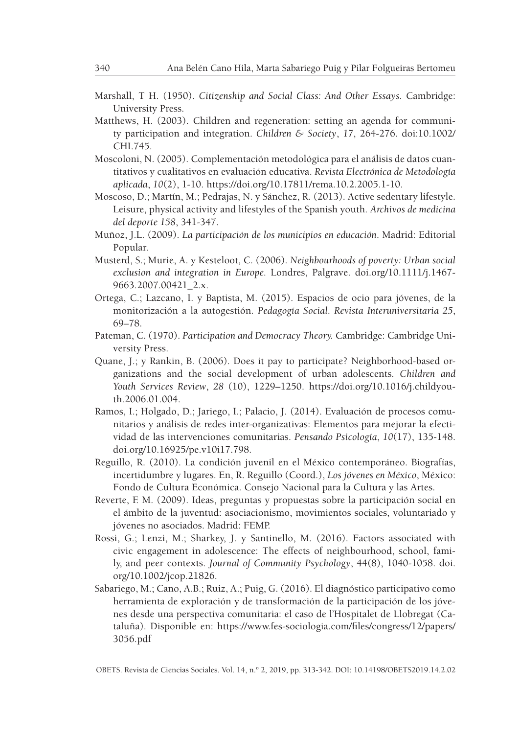- Marshall, T H. (1950). *Citizenship and Social Class: And Other Essays.* Cambridge: University Press.
- Matthews, H. (2003). Children and regeneration: setting an agenda for community participation and integration. *Children & Society*, *17*, 264-276. doi:10.1002/ CHI.745.
- Moscoloni, N. (2005). Complementación metodológica para el análisis de datos cuantitativos y cualitativos en evaluación educativa. *Revista Electrónica de Metodología aplicada*, *10*(2), 1-10. https://doi.org/10.17811/rema.10.2.2005.1-10.
- Moscoso, D.; Martín, M.; Pedrajas, N. y Sánchez, R. (2013). Active sedentary lifestyle. Leisure, physical activity and lifestyles of the Spanish youth. *Archivos de medicina del deporte 158*, 341-347.
- Muñoz, J.L. (2009). *La participación de los municipios en educación*. Madrid: Editorial Popular.
- Musterd, S.; Murie, A. y Kesteloot, C. (2006). *Neighbourhoods of poverty: Urban social exclusion and integration in Europe.* Londres, Palgrave. doi.org/10.1111/j.1467- 9663.2007.00421\_2.x.
- Ortega, C.; Lazcano, I. y Baptista, M. (2015). Espacios de ocio para jóvenes, de la monitorización a la autogestión. *Pedagogía Social. Revista Interuniversitaria 25*, 69–78.
- Pateman, C. (1970). *Participation and Democracy Theory.* Cambridge: Cambridge University Press.
- Quane, J.; y Rankin, B. (2006). Does it pay to participate? Neighborhood-based organizations and the social development of urban adolescents. *Children and Youth Services Review*, *28* (10), 1229–1250. https://doi.org/10.1016/j.childyouth.2006.01.004.
- Ramos, I.; Holgado, D.; Jariego, I.; Palacio, J. (2014). Evaluación de procesos comunitarios y análisis de redes inter-organizativas: Elementos para mejorar la efectividad de las intervenciones comunitarias. *Pensando Psicología*, *10*(17), 135-148. doi.org/10.16925/pe.v10i17.798.
- Reguillo, R. (2010). La condición juvenil en el México contemporáneo. Biografías, incertidumbre y lugares. En, R. Reguillo (Coord.), *Los jóvenes en México*, México: Fondo de Cultura Económica. Consejo Nacional para la Cultura y las Artes.
- Reverte, F. M. (2009). Ideas, preguntas y propuestas sobre la participación social en el ámbito de la juventud: asociacionismo, movimientos sociales, voluntariado y jóvenes no asociados. Madrid: FEMP.
- Rossi, G.; Lenzi, M.; Sharkey, J. y Santinello, M. (2016). Factors associated with civic engagement in adolescence: The effects of neighbourhood, school, family, and peer contexts. *Journal of Community Psychology*, 44(8), 1040-1058. doi. org/10.1002/jcop.21826.
- Sabariego, M.; Cano, A.B.; Ruiz, A.; Puig, G. (2016). El diagnóstico participativo como herramienta de exploración y de transformación de la participación de los jóvenes desde una perspectiva comunitaria: el caso de l'Hospitalet de Llobregat (Cataluña). Disponible en: https://www.fes-sociologia.com/files/congress/12/papers/ 3056.pdf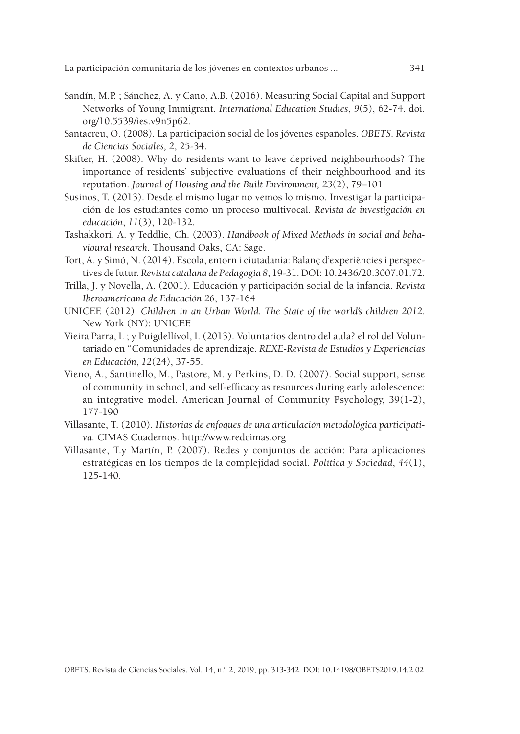- Sandín, M.P. ; Sánchez, A. y Cano, A.B. (2016). Measuring Social Capital and Support Networks of Young Immigrant. *International Education Studies*, *9*(5), 62-74. doi. org/10.5539/ies.v9n5p62.
- Santacreu, O. (2008). La participación social de los jóvenes españoles. *OBETS. Revista de Ciencias Sociales, 2*, 25-34.
- Skifter, H. (2008). Why do residents want to leave deprived neighbourhoods? The importance of residents' subjective evaluations of their neighbourhood and its reputation. *Journal of Housing and the Built Environment, 23*(2), 79–101.
- Susinos, T. (2013). Desde el mismo lugar no vemos lo mismo. Investigar la participación de los estudiantes como un proceso multivocal. *Revista de investigación en educación*, *11*(3), 120-132.
- Tashakkori, A. y Teddlie, Ch. (2003). *Handbook of Mixed Methods in social and behavioural research*. Thousand Oaks, CA: Sage.
- Tort, A. y Simó, N. (2014). Escola, entorn i ciutadania: Balanç d'experiències i perspectives de futur. *Revista catalana de Pedagogia 8*, 19-31. DOI: 10.2436/20.3007.01.72.
- Trilla, J. y Novella, A. (2001). Educación y participación social de la infancia. *Revista Iberoamericana de Educación 26*, 137-164
- UNICEF. (2012). *Children in an Urban World. The State of the world's children 2012*. New York (NY): UNICEF.
- Vieira Parra, L ; y Puigdellívol, I. (2013). Voluntarios dentro del aula? el rol del Voluntariado en "Comunidades de aprendizaje. *REXE-Revista de Estudios y Experiencias en Educación*, *12*(24), 37-55.
- Vieno, A., Santinello, M., Pastore, M. y Perkins, D. D. (2007). Social support, sense of community in school, and self-efficacy as resources during early adolescence: an integrative model. American Journal of Community Psychology, 39(1-2), 177-190
- Villasante, T. (2010). *Historias de enfoques de una articulación metodológica participativa.* CIMAS Cuadernos. http://www.redcimas.org
- Villasante, T.y Martín, P. (2007). Redes y conjuntos de acción: Para aplicaciones estratégicas en los tiempos de la complejidad social. *Política y Sociedad*, *44*(1), 125-140.